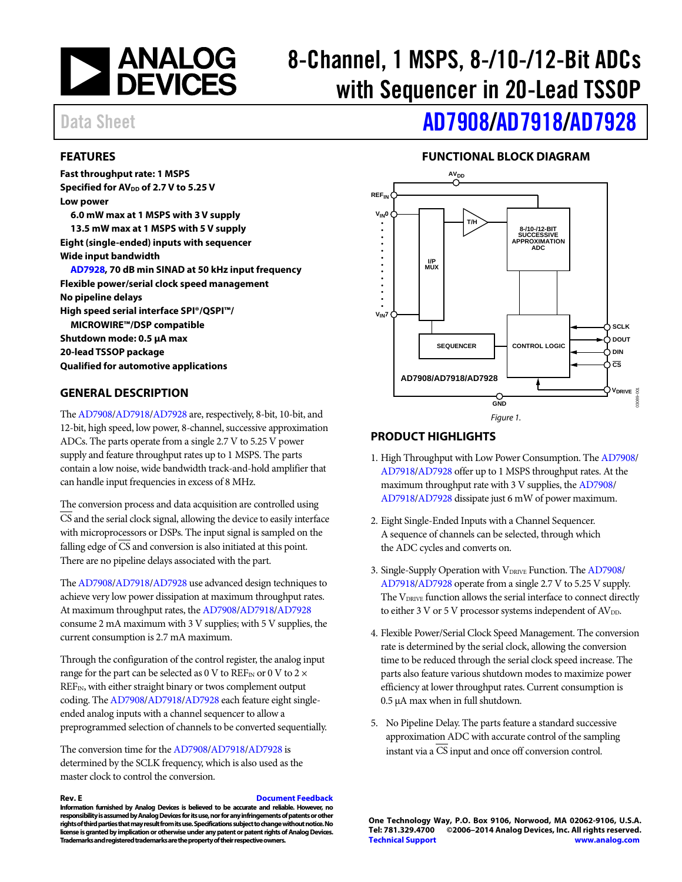

# 8-Channel, 1 MSPS, 8-/10-/12-Bit ADCs with Sequencer in 20-Lead TSSOP

# Data Sheet **[AD7908](http://www.analog.com/ad7908?doc=ad7908_7918_7928.pdf)[/AD7918](http://www.analog.com/ad7918?doc=ad7908_7918_7928.pdf)[/AD7928](http://www.analog.com/ad7928?doc=AD7908_7918_7928.pdf)**

#### <span id="page-0-0"></span>**FEATURES**

**Fast throughput rate: 1 MSPS Specified for AV<sub>DD</sub> of 2.7 V to 5.25 V Low power 6.0 mW max at 1 MSPS with 3 V supply 13.5 mW max at 1 MSPS with 5 V supply Eight (single-ended) inputs with sequencer Wide input bandwidth [AD7928,](http://www.analog.com/ad7928?doc=AD7908_7918_7928.pdf) 70 dB min SINAD at 50 kHz input frequency Flexible power/serial clock speed management No pipeline delays High speed serial interface SPI®/QSPI™/ MICROWIRE™/DSP compatible Shutdown mode: 0.5 μA max 20-lead TSSOP package Qualified for automotive applications**

#### <span id="page-0-1"></span>**GENERAL DESCRIPTION**

Th[e AD7908/](http://www.analog.com/ad7908?doc=ad7908_7918_7928.pdf)[AD7918/](http://www.analog.com/ad7918?doc=ad7908_7918_7928.pdf)[AD7928](http://www.analog.com/ad7928?doc=AD7908_7918_7928.pdf) are, respectively, 8-bit, 10-bit, and 12-bit, high speed, low power, 8-channel, successive approximation ADCs. The parts operate from a single 2.7 V to 5.25 V power supply and feature throughput rates up to 1 MSPS. The parts contain a low noise, wide bandwidth track-and-hold amplifier that can handle input frequencies in excess of 8 MHz.

The conversion process and data acquisition are controlled using CS and the serial clock signal, allowing the device to easily interface with microprocessors or DSPs. The input signal is sampled on the falling edge of CS and conversion is also initiated at this point. There are no pipeline delays associated with the part.

Th[e AD7908/](http://www.analog.com/ad7908?doc=ad7908_7918_7928.pdf)[AD7918/](http://www.analog.com/ad7918?doc=ad7908_7918_7928.pdf)[AD7928](http://www.analog.com/ad7928?doc=AD7908_7918_7928.pdf) use advanced design techniques to achieve very low power dissipation at maximum throughput rates. At maximum throughput rates, th[e AD7908](http://www.analog.com/ad7908?doc=ad7908_7918_7928.pdf)[/AD7918](http://www.analog.com/ad7918?doc=ad7908_7918_7928.pdf)[/AD7928](http://www.analog.com/ad7928?doc=AD7908_7918_7928.pdf) consume 2 mA maximum with 3 V supplies; with 5 V supplies, the current consumption is 2.7 mA maximum.

Through the configuration of the control register, the analog input range for the part can be selected as 0 V to  $REF_{IN}$  or 0 V to 2  $\times$ REFIN, with either straight binary or twos complement output coding. Th[e AD7908](http://www.analog.com/ad7908?doc=ad7908_7918_7928.pdf)[/AD7918](http://www.analog.com/ad7918?doc=ad7908_7918_7928.pdf)[/AD7928](http://www.analog.com/ad7928?doc=AD7908_7918_7928.pdf) each feature eight singleended analog inputs with a channel sequencer to allow a preprogrammed selection of channels to be converted sequentially.

The conversion time for the [AD7908](http://www.analog.com/ad7908?doc=ad7908_7918_7928.pdf)[/AD7918](http://www.analog.com/ad7918?doc=ad7908_7918_7928.pdf)[/AD7928](http://www.analog.com/ad7928?doc=AD7908_7918_7928.pdf) is determined by the SCLK frequency, which is also used as the master clock to control the conversion.

#### **Rev. E [Document Feedback](https://form.analog.com/Form_Pages/feedback/documentfeedback.aspx?doc=AD7908_7918_7928.pdf&product=AD7908%20AD7918%20AD7928&rev=E) Information furnished by Analog Devices is believed to be accurate and reliable. However, no responsibility is assumed by Analog Devices for its use, nor for any infringements of patents or other rights of third parties that may result from its use. Specifications subject to change without notice. No**

**Trademarks and registered trademarks are the property of their respective owners.**

**license is granted by implication or otherwise under any patent or patent rights of Analog Devices.** 

### **FUNCTIONAL BLOCK DIAGRAM**

<span id="page-0-2"></span>

#### <span id="page-0-3"></span>**PRODUCT HIGHLIGHTS**

- 1. High Throughput with Low Power Consumption. Th[e AD7908/](http://www.analog.com/ad7908?doc=ad7908_7918_7928.pdf) [AD7918](http://www.analog.com/ad7918?doc=ad7908_7918_7928.pdf)[/AD7928](http://www.analog.com/ad7928?doc=AD7908_7918_7928.pdf) offer up to 1 MSPS throughput rates. At the maximum throughput rate with 3 V supplies, the [AD7908/](http://www.analog.com/ad7908?doc=ad7908_7918_7928.pdf) [AD7918](http://www.analog.com/ad7918?doc=ad7908_7918_7928.pdf)[/AD7928](http://www.analog.com/ad7928?doc=AD7908_7918_7928.pdf) dissipate just 6 mW of power maximum.
- 2. Eight Single-Ended Inputs with a Channel Sequencer. A sequence of channels can be selected, through which the ADC cycles and converts on.
- 3. Single-Supply Operation with VDRIVE Function. The [AD7908/](http://www.analog.com/ad7908?doc=ad7908_7918_7928.pdf) [AD7918](http://www.analog.com/ad7918?doc=ad7908_7918_7928.pdf)[/AD7928](http://www.analog.com/ad7928?doc=AD7908_7918_7928.pdf) operate from a single 2.7 V to 5.25 V supply. The V<sub>DRIVE</sub> function allows the serial interface to connect directly to either 3 V or 5 V processor systems independent of  $AV<sub>DD</sub>$ .
- 4. Flexible Power/Serial Clock Speed Management. The conversion rate is determined by the serial clock, allowing the conversion time to be reduced through the serial clock speed increase. The parts also feature various shutdown modes to maximize power efficiency at lower throughput rates. Current consumption is 0.5 μA max when in full shutdown.
- 5. No Pipeline Delay. The parts feature a standard successive approximation ADC with accurate control of the sampling instant via a CS input and once off conversion control.

**One Technology Way, P.O. Box 9106, Norwood, MA 02062-9106, U.S.A. Tel: 781.329.4700 ©2006–2014 Analog Devices, Inc. All rights reserved. [Technical Support](http://www.analog.com/en/content/technical_support_page/fca.html) [www.analog.com](http://www.analog.com/)**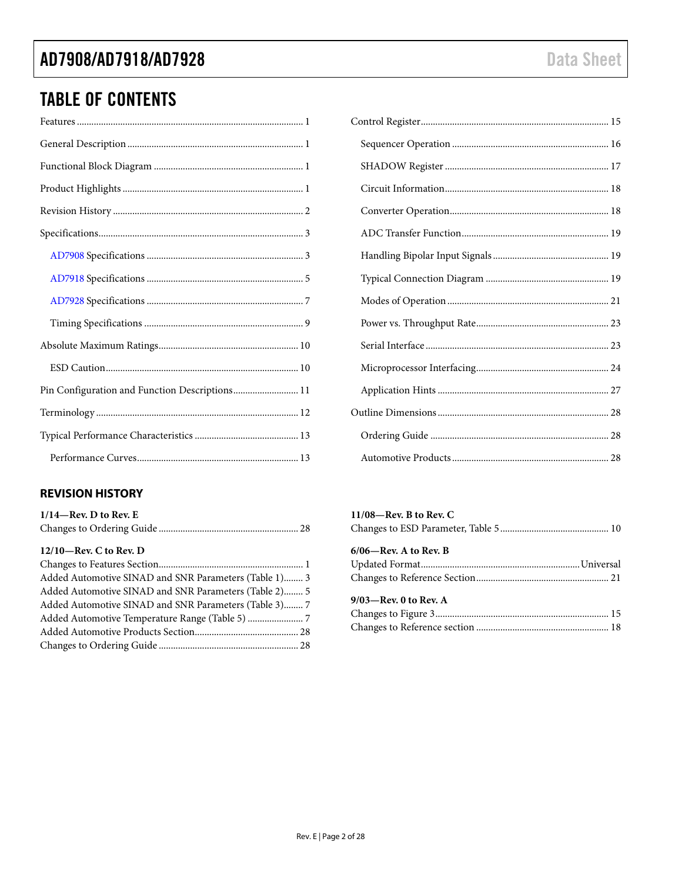# TABLE OF CONTENTS

| Pin Configuration and Function Descriptions 11 |  |
|------------------------------------------------|--|
|                                                |  |
|                                                |  |
|                                                |  |

### <span id="page-1-0"></span>**REVISION HISTORY**

| $1/14$ —Rev. D to Rev. E |  |
|--------------------------|--|
|                          |  |

#### **12/10—Rev. C to Rev. D**

| Added Automotive SINAD and SNR Parameters (Table 1) 3 |  |
|-------------------------------------------------------|--|
| Added Automotive SINAD and SNR Parameters (Table 2) 5 |  |
| Added Automotive SINAD and SNR Parameters (Table 3) 7 |  |
|                                                       |  |
|                                                       |  |
|                                                       |  |

### **11/08—Rev. B to Rev. C** Changes to ESD Parameter, Table 5............................................. 10 **6/06—Rev. A to Rev. B** Updated Format..................................................................Universal Changes to Reference Section....................................................... 21 **9/03—Rev. 0 to Rev. A** Changes to Figure 3........................................................................ 15 Changes to Reference section ....................................................... 18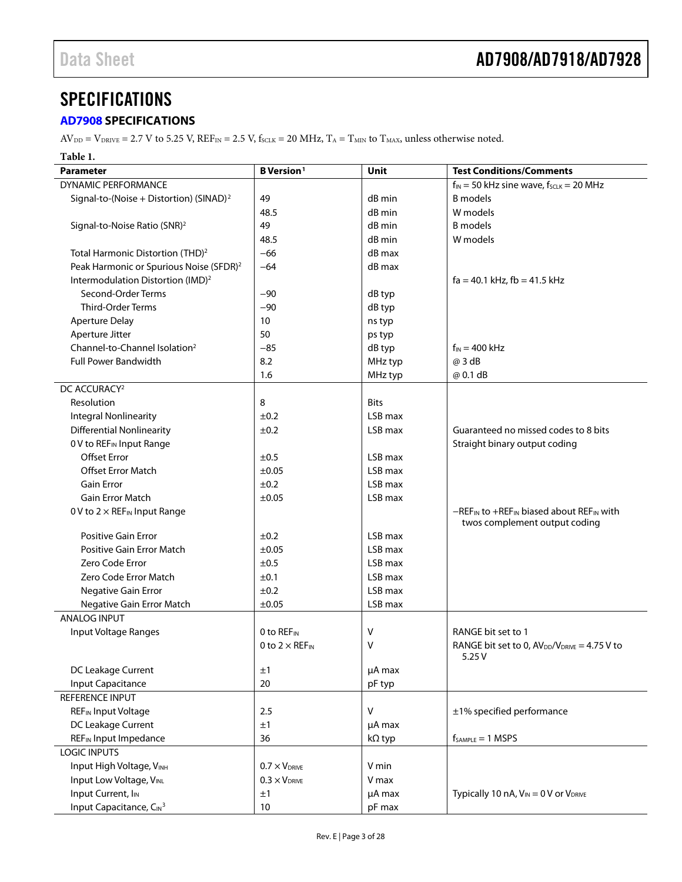## <span id="page-2-0"></span>**SPECIFICATIONS**

### <span id="page-2-1"></span>**[AD7908](http://www.analog.com/ad7908?doc=ad7908_7918_7928.pdf) SPECIFICATIONS**

 $AV_{DD} = V_{DRIVE} = 2.7$  V to 5.25 V,  $REF_{IN} = 2.5$  V,  $f_{SCLK} = 20$  MHz,  $T_A = T_{MIN}$  to  $T_{MAX}$ , unless otherwise noted.

#### **Table 1.**

| <b>Parameter</b>                                    | <b>B</b> Version <sup>1</sup>     | Unit          | <b>Test Conditions/Comments</b>                                              |
|-----------------------------------------------------|-----------------------------------|---------------|------------------------------------------------------------------------------|
| DYNAMIC PERFORMANCE                                 |                                   |               | $f_{IN}$ = 50 kHz sine wave, $f_{SCLK}$ = 20 MHz                             |
| Signal-to-(Noise + Distortion) (SINAD) <sup>2</sup> | 49                                | dB min        | <b>B</b> models                                                              |
|                                                     | 48.5                              | dB min        | W models                                                                     |
| Signal-to-Noise Ratio (SNR) <sup>2</sup>            | 49                                | dB min        | <b>B</b> models                                                              |
|                                                     | 48.5                              | dB min        | W models                                                                     |
| Total Harmonic Distortion (THD) <sup>2</sup>        | $-66$                             | dB max        |                                                                              |
| Peak Harmonic or Spurious Noise (SFDR) <sup>2</sup> | $-64$                             | dB max        |                                                                              |
| Intermodulation Distortion (IMD) <sup>2</sup>       |                                   |               | $fa = 40.1$ kHz, $fb = 41.5$ kHz                                             |
| Second-Order Terms                                  | $-90$                             | dB typ        |                                                                              |
| <b>Third-Order Terms</b>                            | $-90$                             | dB typ        |                                                                              |
| <b>Aperture Delay</b>                               | 10 <sup>°</sup>                   | ns typ        |                                                                              |
| Aperture Jitter                                     | 50                                | ps typ        |                                                                              |
| Channel-to-Channel Isolation <sup>2</sup>           | $-85$                             | dB typ        | $f_{IN} = 400$ kHz                                                           |
| <b>Full Power Bandwidth</b>                         | 8.2                               | MHz typ       | @ 3 dB                                                                       |
|                                                     | 1.6                               | MHz typ       | @ 0.1 dB                                                                     |
| DC ACCURACY <sup>2</sup>                            |                                   |               |                                                                              |
| Resolution                                          | 8                                 | <b>Bits</b>   |                                                                              |
| <b>Integral Nonlinearity</b>                        | ±0.2                              | LSB max       |                                                                              |
| <b>Differential Nonlinearity</b>                    | ±0.2                              | LSB max       | Guaranteed no missed codes to 8 bits                                         |
| 0 V to REF <sub>IN</sub> Input Range                |                                   |               | Straight binary output coding                                                |
| <b>Offset Error</b>                                 | ±0.5                              | LSB max       |                                                                              |
| <b>Offset Error Match</b>                           | ±0.05                             | LSB max       |                                                                              |
| <b>Gain Error</b>                                   | ±0.2                              | LSB max       |                                                                              |
| <b>Gain Error Match</b>                             | ±0.05                             | LSB max       |                                                                              |
| 0 V to $2 \times$ REF <sub>IN</sub> Input Range     |                                   |               | -REF <sub>IN</sub> to +REF <sub>IN</sub> biased about REF <sub>IN</sub> with |
|                                                     |                                   |               | twos complement output coding                                                |
| <b>Positive Gain Error</b>                          | ±0.2                              | LSB max       |                                                                              |
| Positive Gain Error Match                           | $\pm 0.05$                        | LSB max       |                                                                              |
| Zero Code Error                                     | ±0.5                              | LSB max       |                                                                              |
| Zero Code Error Match                               | ±0.1                              | LSB max       |                                                                              |
| Negative Gain Error                                 | ±0.2                              | LSB max       |                                                                              |
| Negative Gain Error Match                           | ±0.05                             | LSB max       |                                                                              |
| <b>ANALOG INPUT</b>                                 |                                   |               |                                                                              |
| Input Voltage Ranges                                | 0 to REFIN                        | V             | RANGE bit set to 1                                                           |
|                                                     | 0 to $2 \times$ REF <sub>IN</sub> | ٧             | RANGE bit set to 0, $AV_{DD}/V_{DRIVE} = 4.75 V$ to<br>5.25V                 |
| DC Leakage Current                                  | ±1                                | µA max        |                                                                              |
| <b>Input Capacitance</b>                            | 20                                | pF typ        |                                                                              |
| REFERENCE INPUT                                     |                                   |               |                                                                              |
| <b>REF</b> IN Input Voltage                         | 2.5                               | v             | ±1% specified performance                                                    |
| DC Leakage Current                                  | ±1                                | µA max        |                                                                              |
| REF <sub>IN</sub> Input Impedance                   | 36                                | $k\Omega$ typ | $f_{SAMPLE} = 1$ MSPS                                                        |
| <b>LOGIC INPUTS</b>                                 |                                   |               |                                                                              |
| Input High Voltage, VINH                            | $0.7 \times V_{DRIVE}$            | V min         |                                                                              |
| Input Low Voltage, VINL                             | $0.3 \times V_{DRIVE}$            | V max         |                                                                              |
| Input Current, I <sub>IN</sub>                      | ±1                                | µA max        | Typically 10 nA, V <sub>IN</sub> = 0 V or V <sub>DRIVE</sub>                 |
| Input Capacitance, CIN <sup>3</sup>                 | 10                                | pF max        |                                                                              |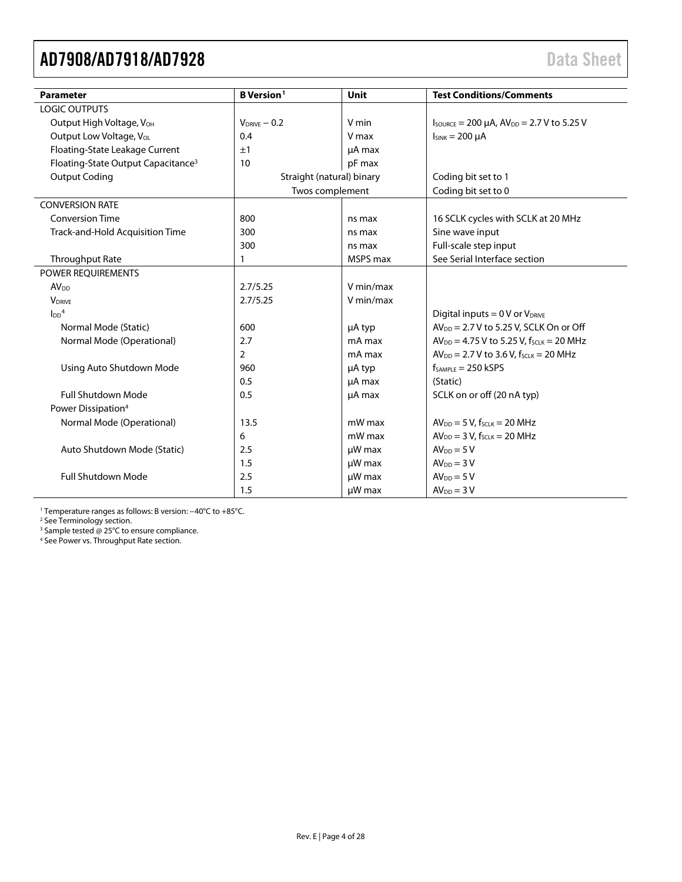<span id="page-3-0"></span>

| <b>Parameter</b>                               | <b>B</b> Version <sup>1</sup> | Unit      | <b>Test Conditions/Comments</b>                               |
|------------------------------------------------|-------------------------------|-----------|---------------------------------------------------------------|
| <b>LOGIC OUTPUTS</b>                           |                               |           |                                                               |
| Output High Voltage, V <sub>OH</sub>           | $V_{DRIVE} - 0.2$             | V min     | $I_{\text{SOURCE}} = 200 \mu A$ , $AV_{DD} = 2.7 V$ to 5.25 V |
| Output Low Voltage, VoL                        | 0.4                           | V max     | $I_{SINK} = 200 \mu A$                                        |
| Floating-State Leakage Current                 | ±1                            | µA max    |                                                               |
| Floating-State Output Capacitance <sup>3</sup> | 10                            | pF max    |                                                               |
| <b>Output Coding</b>                           | Straight (natural) binary     |           | Coding bit set to 1                                           |
|                                                | Twos complement               |           | Coding bit set to 0                                           |
| <b>CONVERSION RATE</b>                         |                               |           |                                                               |
| <b>Conversion Time</b>                         | 800                           | ns max    | 16 SCLK cycles with SCLK at 20 MHz                            |
| Track-and-Hold Acquisition Time                | 300                           | ns max    | Sine wave input                                               |
|                                                | 300                           | ns max    | Full-scale step input                                         |
| Throughput Rate                                | $\mathbf{1}$                  | MSPS max  | See Serial Interface section                                  |
| <b>POWER REOUIREMENTS</b>                      |                               |           |                                                               |
| <b>AV</b> <sub>DD</sub>                        | 2.7/5.25                      | V min/max |                                                               |
| <b>VDRIVE</b>                                  | 2.7/5.25                      | V min/max |                                                               |
| $\text{L}^4$                                   |                               |           | Digital inputs = $0 \text{ V}$ or $V_{DRIVE}$                 |
| Normal Mode (Static)                           | 600                           | µA typ    | AV <sub>DD</sub> = 2.7 V to 5.25 V, SCLK On or Off            |
| Normal Mode (Operational)                      | 2.7                           | mA max    | $AV_{DD} = 4.75 V$ to 5.25 V, $f_{SCLK} = 20 MHz$             |
|                                                | $\overline{2}$                | mA max    | $AV_{DD} = 2.7 V$ to 3.6 V, $f_{SCLK} = 20 MHz$               |
| Using Auto Shutdown Mode                       | 960                           | µA typ    | $f_{sAMPIF} = 250$ kSPS                                       |
|                                                | 0.5                           | µA max    | (Static)                                                      |
| <b>Full Shutdown Mode</b>                      | 0.5                           | µA max    | SCLK on or off (20 nA typ)                                    |
| Power Dissipation <sup>4</sup>                 |                               |           |                                                               |
| Normal Mode (Operational)                      | 13.5                          | mW max    | $AV_{DD} = 5 V$ , f <sub>SCLK</sub> = 20 MHz                  |
|                                                | 6                             | mW max    | $AV_{DD} = 3 V$ , f <sub>SCLK</sub> = 20 MHz                  |
| Auto Shutdown Mode (Static)                    | 2.5                           | µW max    | $AV_{DD} = 5V$                                                |
|                                                | 1.5                           | µW max    | $AVDD = 3 V$                                                  |
| <b>Full Shutdown Mode</b>                      | 2.5                           | µW max    | $AV_{DD} = 5V$                                                |
|                                                | 1.5                           | µW max    | $AVDD = 3 V$                                                  |

<sup>1</sup> Temperature ranges as follows: B version: −40°C to +85°C.

<sup>2</sup> Se[e Terminology](#page-11-0) section.

<sup>3</sup> Sample tested @ 25°C to ensure compliance.

<sup>4</sup> Se[e Power vs. Throughput Rate s](#page-22-2)ection.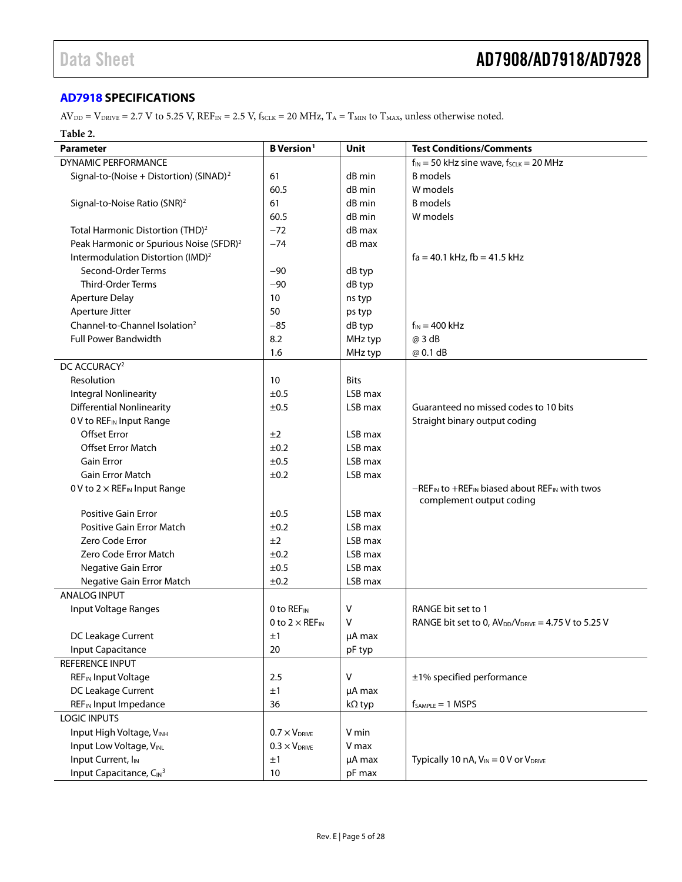#### <span id="page-4-0"></span>**[AD7918](http://www.analog.com/ad7918?doc=ad7908_7918_7928.pdf) SPECIFICATIONS**

 $AV_{DD} = V_{DRIVE} = 2.7 V$  to 5.25 V,  $REF_{IN} = 2.5 V$ ,  $f_{SCLK} = 20 MHz$ ,  $T_A = T_{MIN}$  to  $T_{MAX}$ , unless otherwise noted.

#### **Table 2.**

| Parameter                                           | <b>B</b> Version <sup>1</sup>     | Unit        | <b>Test Conditions/Comments</b>                                            |
|-----------------------------------------------------|-----------------------------------|-------------|----------------------------------------------------------------------------|
| DYNAMIC PERFORMANCE                                 |                                   |             | $f_{IN}$ = 50 kHz sine wave, $f_{SCLR}$ = 20 MHz                           |
| Signal-to-(Noise + Distortion) (SINAD) <sup>2</sup> | 61                                | dB min      | <b>B</b> models                                                            |
|                                                     | 60.5                              | dB min      | W models                                                                   |
| Signal-to-Noise Ratio (SNR) <sup>2</sup>            | 61                                | dB min      | <b>B</b> models                                                            |
|                                                     | 60.5                              | dB min      | W models                                                                   |
| Total Harmonic Distortion (THD) <sup>2</sup>        | $-72$                             | dB max      |                                                                            |
| Peak Harmonic or Spurious Noise (SFDR) <sup>2</sup> | $-74$                             | dB max      |                                                                            |
| Intermodulation Distortion (IMD) <sup>2</sup>       |                                   |             | $fa = 40.1$ kHz, $fb = 41.5$ kHz                                           |
| Second-Order Terms                                  | $-90$                             | dB typ      |                                                                            |
| <b>Third-Order Terms</b>                            | $-90$                             | dB typ      |                                                                            |
| <b>Aperture Delay</b>                               | 10                                | ns typ      |                                                                            |
| Aperture Jitter                                     | 50                                | ps typ      |                                                                            |
| Channel-to-Channel Isolation <sup>2</sup>           | $-85$                             | dB typ      | $f_{IN} = 400$ kHz                                                         |
| <b>Full Power Bandwidth</b>                         | 8.2                               | MHz typ     | @ 3 dB                                                                     |
|                                                     | 1.6                               | MHz typ     | @ 0.1 dB                                                                   |
| DC ACCURACY <sup>2</sup>                            |                                   |             |                                                                            |
| Resolution                                          | 10                                | <b>Bits</b> |                                                                            |
| <b>Integral Nonlinearity</b>                        | ±0.5                              | LSB max     |                                                                            |
| <b>Differential Nonlinearity</b>                    | ±0.5                              | LSB max     | Guaranteed no missed codes to 10 bits                                      |
| 0 V to REF <sub>IN</sub> Input Range                |                                   |             | Straight binary output coding                                              |
| <b>Offset Error</b>                                 | ±2                                | LSB max     |                                                                            |
| Offset Error Match                                  | ±0.2                              | LSB max     |                                                                            |
| Gain Error                                          | ±0.5                              | LSB max     |                                                                            |
| Gain Error Match                                    | ±0.2                              | LSB max     |                                                                            |
| 0 V to $2 \times$ REF <sub>IN</sub> Input Range     |                                   |             | $-REF_{IN}$ to +REF <sub>IN</sub> biased about REF <sub>IN</sub> with twos |
|                                                     |                                   |             | complement output coding                                                   |
| <b>Positive Gain Error</b>                          | ±0.5                              | LSB max     |                                                                            |
| Positive Gain Error Match                           | ±0.2                              | LSB max     |                                                                            |
| Zero Code Error                                     | ±2                                | LSB max     |                                                                            |
| Zero Code Error Match                               | ±0.2                              | LSB max     |                                                                            |
| Negative Gain Error                                 | ±0.5                              | LSB max     |                                                                            |
| Negative Gain Error Match                           | ±0.2                              | LSB max     |                                                                            |
| <b>ANALOG INPUT</b>                                 |                                   |             |                                                                            |
| Input Voltage Ranges                                | 0 to REF <sub>IN</sub>            | v           | RANGE bit set to 1                                                         |
|                                                     | 0 to $2 \times$ REF <sub>IN</sub> | v           | RANGE bit set to 0, $AV_{DD}/V_{DRIVE} = 4.75 V$ to 5.25 V                 |
| DC Leakage Current                                  | ±1                                | µA max      |                                                                            |
| Input Capacitance                                   | 20                                | pF typ      |                                                                            |
| REFERENCE INPUT                                     |                                   |             |                                                                            |
| <b>REF<sub>IN</sub></b> Input Voltage               | 2.5                               | ٧           | ±1% specified performance                                                  |
| DC Leakage Current                                  | ±1                                | µA max      |                                                                            |
| REF <sub>IN</sub> Input Impedance                   | 36                                | kΩ typ      | $f_{SAMPLE} = 1$ MSPS                                                      |
| <b>LOGIC INPUTS</b>                                 |                                   |             |                                                                            |
| Input High Voltage, VINH                            | $0.7 \times V_{DRIVE}$            | V min       |                                                                            |
| Input Low Voltage, VINL                             | $0.3 \times V_{DRIVE}$            | V max       |                                                                            |
| Input Current, I <sub>IN</sub>                      | ±1                                | µA max      | Typically 10 nA, $V_{IN} = 0$ V or $V_{DRIVE}$                             |
| Input Capacitance, CIN <sup>3</sup>                 | 10                                | pF max      |                                                                            |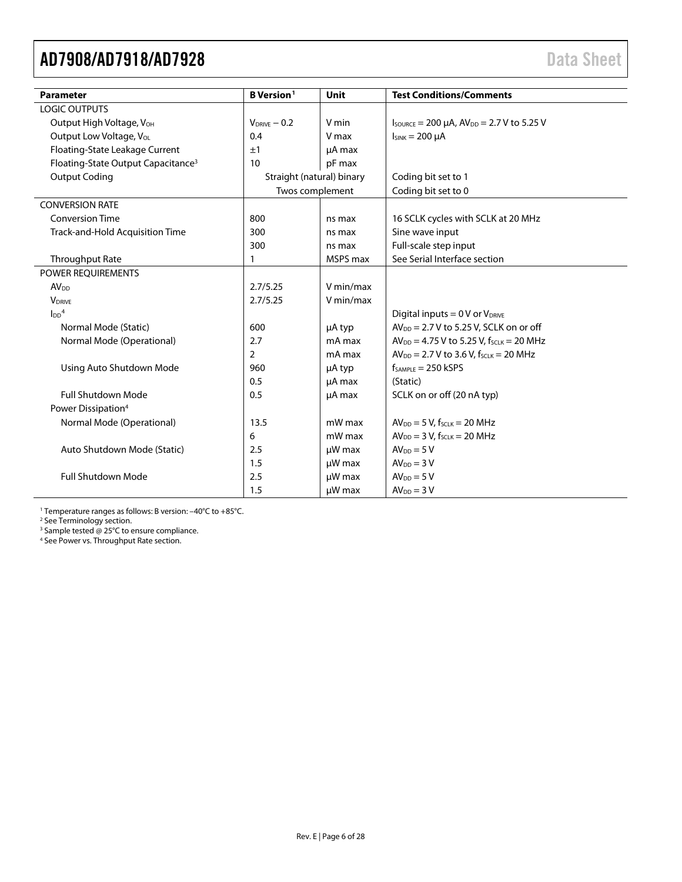<span id="page-5-0"></span>

| <b>Parameter</b>                               | <b>B</b> Version <sup>1</sup> | <b>Unit</b> | <b>Test Conditions/Comments</b>                               |
|------------------------------------------------|-------------------------------|-------------|---------------------------------------------------------------|
| <b>LOGIC OUTPUTS</b>                           |                               |             |                                                               |
| Output High Voltage, V <sub>OH</sub>           | $V_{DRIVE} - 0.2$             | V min       | $I_{\text{SOWRCE}} = 200 \mu A$ , $AV_{DD} = 2.7 V$ to 5.25 V |
| Output Low Voltage, VoL                        | 0.4                           | V max       | $I_{SINK} = 200 \mu A$                                        |
| Floating-State Leakage Current                 | ±1                            | µA max      |                                                               |
| Floating-State Output Capacitance <sup>3</sup> | 10                            | pF max      |                                                               |
| <b>Output Coding</b>                           | Straight (natural) binary     |             | Coding bit set to 1                                           |
|                                                | Twos complement               |             | Coding bit set to 0                                           |
| <b>CONVERSION RATE</b>                         |                               |             |                                                               |
| <b>Conversion Time</b>                         | 800                           | ns max      | 16 SCLK cycles with SCLK at 20 MHz                            |
| Track-and-Hold Acquisition Time                | 300                           | ns max      | Sine wave input                                               |
|                                                | 300                           | ns max      | Full-scale step input                                         |
| <b>Throughput Rate</b>                         | $\mathbf{1}$                  | MSPS max    | See Serial Interface section                                  |
| POWER REQUIREMENTS                             |                               |             |                                                               |
| <b>AV<sub>DD</sub></b>                         | 2.7/5.25                      | V min/max   |                                                               |
| <b>V</b> <sub>DRIVE</sub>                      | 2.7/5.25                      | V min/max   |                                                               |
| $\text{LDD}^4$                                 |                               |             | Digital inputs = $0 \vee$ or $V_{DRIVE}$                      |
| Normal Mode (Static)                           | 600                           | µA typ      | $AV_{DD} = 2.7 V$ to 5.25 V, SCLK on or off                   |
| Normal Mode (Operational)                      | 2.7                           | mA max      | $AV_{DD} = 4.75 V$ to 5.25 V, fscLK = 20 MHz                  |
|                                                | $\overline{2}$                | mA max      | $AV_{DD} = 2.7 V$ to 3.6 V, $f_{SCLK} = 20 MHz$               |
| Using Auto Shutdown Mode                       | 960                           | µA typ      | $f_{SAMPLE} = 250$ kSPS                                       |
|                                                | 0.5                           | µA max      | (Static)                                                      |
| <b>Full Shutdown Mode</b>                      | 0.5                           | µA max      | SCLK on or off (20 nA typ)                                    |
| Power Dissipation <sup>4</sup>                 |                               |             |                                                               |
| Normal Mode (Operational)                      | 13.5                          | mW max      | $AV_{DD} = 5 V$ , f <sub>SCLK</sub> = 20 MHz                  |
|                                                | 6                             | mW max      | $AV_{DD} = 3 V$ , f <sub>SCLK</sub> = 20 MHz                  |
| Auto Shutdown Mode (Static)                    | 2.5                           | $\mu$ W max | $AVDD = 5 V$                                                  |
|                                                | 1.5                           | µW max      | $AVDD = 3 V$                                                  |
| <b>Full Shutdown Mode</b>                      | 2.5                           | µW max      | $AVDD = 5 V$                                                  |
|                                                | 1.5                           | µW max      | $AVDD = 3 V$                                                  |

<sup>1</sup> Temperature ranges as follows: B version: -40°C to +85°C.

<sup>2</sup> Se[e Terminology](#page-11-0) section.

<sup>3</sup> Sample tested @ 25°C to ensure compliance.

<sup>4</sup> See Power [vs. Throughput](#page-22-2) Rate section.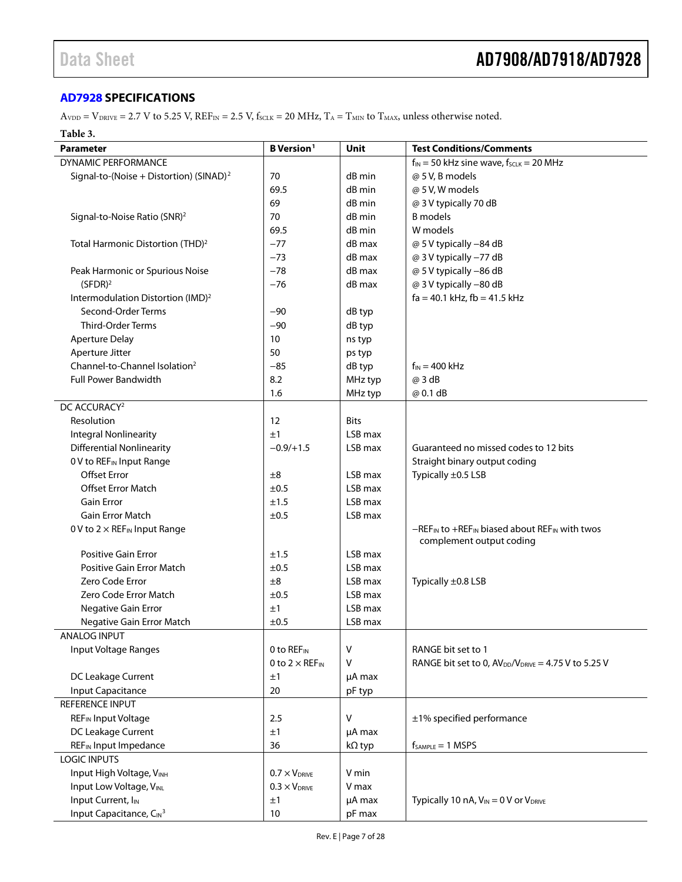#### <span id="page-6-0"></span>**[AD7928](http://www.analog.com/ad7928?doc=AD7908_7918_7928.pdf) SPECIFICATIONS**

 $A_{\text{VDD}} = V_{\text{DRIVE}} = 2.7 \text{ V}$  to 5.25 V,  $\text{REF}_{\text{IN}} = 2.5 \text{ V}$ ,  $f_{\text{SCLK}} = 20 \text{ MHz}$ ,  $T_A = T_{\text{MIN}}$  to  $T_{\text{MAX}}$ , unless otherwise noted.

#### **Table 3.**

| <b>Parameter</b>                                    | <b>B</b> Version <sup>1</sup>     | <b>Unit</b>   | <b>Test Conditions/Comments</b>                                                   |
|-----------------------------------------------------|-----------------------------------|---------------|-----------------------------------------------------------------------------------|
| DYNAMIC PERFORMANCE                                 |                                   |               | $f_{IN}$ = 50 kHz sine wave, $f_{SCLR}$ = 20 MHz                                  |
| Signal-to-(Noise + Distortion) (SINAD) <sup>2</sup> | 70                                | dB min        | @ 5 V, B models                                                                   |
|                                                     | 69.5                              | dB min        | @ 5 V, W models                                                                   |
|                                                     | 69                                | dB min        | @ 3 V typically 70 dB                                                             |
| Signal-to-Noise Ratio (SNR) <sup>2</sup>            | 70                                | dB min        | <b>B</b> models                                                                   |
|                                                     | 69.5                              | dB min        | W models                                                                          |
| Total Harmonic Distortion (THD) <sup>2</sup>        | $-77$                             | dB max        | @ 5 V typically -84 dB                                                            |
|                                                     | $-73$                             | dB max        | @ 3 V typically -77 dB                                                            |
| Peak Harmonic or Spurious Noise                     | $-78$                             | dB max        | @ 5 V typically -86 dB                                                            |
| (SFDR) <sup>2</sup>                                 | $-76$                             | dB max        | @ 3 V typically -80 dB                                                            |
| Intermodulation Distortion (IMD) <sup>2</sup>       |                                   |               | $fa = 40.1$ kHz, $fb = 41.5$ kHz                                                  |
| Second-Order Terms                                  | $-90$                             | dB typ        |                                                                                   |
| <b>Third-Order Terms</b>                            | $-90$                             | dB typ        |                                                                                   |
| <b>Aperture Delay</b>                               | 10                                | ns typ        |                                                                                   |
| Aperture Jitter                                     | 50                                | ps typ        |                                                                                   |
| Channel-to-Channel Isolation <sup>2</sup>           | $-85$                             | dB typ        | $f_{IN}$ = 400 kHz                                                                |
| <b>Full Power Bandwidth</b>                         | 8.2                               | MHz typ       | @ 3 dB                                                                            |
|                                                     | 1.6                               | MHz typ       | @ 0.1 dB                                                                          |
| DC ACCURACY <sup>2</sup>                            |                                   |               |                                                                                   |
| Resolution                                          | 12                                | <b>Bits</b>   |                                                                                   |
| <b>Integral Nonlinearity</b>                        | ±1                                | LSB max       |                                                                                   |
| <b>Differential Nonlinearity</b>                    | $-0.9/+1.5$                       | LSB max       | Guaranteed no missed codes to 12 bits                                             |
| 0 V to REF <sub>IN</sub> Input Range                |                                   |               | Straight binary output coding                                                     |
| <b>Offset Error</b>                                 | ±8                                | LSB max       | Typically ±0.5 LSB                                                                |
| <b>Offset Error Match</b>                           | ±0.5                              | LSB max       |                                                                                   |
| <b>Gain Error</b>                                   | ±1.5                              | LSB max       |                                                                                   |
| <b>Gain Error Match</b>                             | ±0.5                              | LSB max       |                                                                                   |
| 0 V to $2 \times$ REF <sub>IN</sub> Input Range     |                                   |               | -REF <sub>IN</sub> to +REF <sub>IN</sub> biased about REF <sub>IN</sub> with twos |
|                                                     |                                   |               | complement output coding                                                          |
| <b>Positive Gain Error</b>                          | ±1.5                              | LSB max       |                                                                                   |
| Positive Gain Error Match                           | ±0.5                              | LSB max       |                                                                                   |
| Zero Code Error                                     | ±8                                | LSB max       | Typically ±0.8 LSB                                                                |
| Zero Code Error Match                               | ±0.5                              | LSB max       |                                                                                   |
| Negative Gain Error                                 | ±1                                | LSB max       |                                                                                   |
| Negative Gain Error Match                           | ±0.5                              | LSB max       |                                                                                   |
| ANALOG INPUT                                        |                                   |               |                                                                                   |
| Input Voltage Ranges                                | 0 to REFIN                        | V             | RANGE bit set to 1                                                                |
|                                                     | 0 to $2 \times$ REF <sub>IN</sub> | V             | RANGE bit set to 0, $AV_{DD}/V_{DRIVE} = 4.75 V$ to 5.25 V                        |
| DC Leakage Current                                  | ±1                                | µA max        |                                                                                   |
| <b>Input Capacitance</b>                            | 20                                | pF typ        |                                                                                   |
| <b>REFERENCE INPUT</b>                              |                                   |               |                                                                                   |
| REF <sub>IN</sub> Input Voltage                     | 2.5                               | V             | ±1% specified performance                                                         |
| DC Leakage Current                                  | ±1                                | µA max        |                                                                                   |
| REF <sub>IN</sub> Input Impedance                   | 36                                | $k\Omega$ typ | $f_{SAMPLE} = 1$ MSPS                                                             |
| <b>LOGIC INPUTS</b>                                 |                                   |               |                                                                                   |
| Input High Voltage, VINH                            | $0.7 \times V_{DRIVE}$            | V min         |                                                                                   |
| Input Low Voltage, VINL                             | $0.3 \times V_{DRIVE}$            | V max         |                                                                                   |
| Input Current, I <sub>IN</sub>                      | ±1                                | µA max        | Typically 10 nA, $V_{IN} = 0$ V or $V_{DRIVE}$                                    |
| Input Capacitance, CIN <sup>3</sup>                 | 10                                | pF max        |                                                                                   |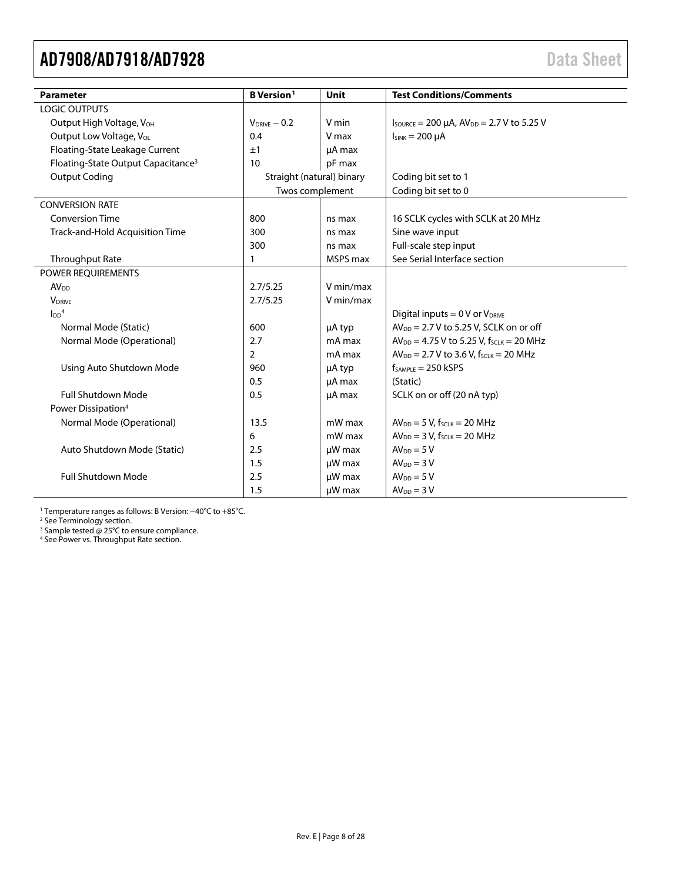<span id="page-7-0"></span>

| <b>Parameter</b>                               | <b>B</b> Version <sup>1</sup> | <b>Unit</b> | <b>Test Conditions/Comments</b>                               |
|------------------------------------------------|-------------------------------|-------------|---------------------------------------------------------------|
| <b>LOGIC OUTPUTS</b>                           |                               |             |                                                               |
| Output High Voltage, V <sub>OH</sub>           | $V_{DRIVE} - 0.2$             | V min       | $I_{\text{SOWRCE}} = 200 \mu A$ , $AV_{DD} = 2.7 V$ to 5.25 V |
| Output Low Voltage, VoL                        | 0.4                           | V max       | $I_{SINK} = 200 \mu A$                                        |
| Floating-State Leakage Current                 | ±1                            | µA max      |                                                               |
| Floating-State Output Capacitance <sup>3</sup> | 10                            | pF max      |                                                               |
| <b>Output Coding</b>                           | Straight (natural) binary     |             | Coding bit set to 1                                           |
|                                                | Twos complement               |             | Coding bit set to 0                                           |
| <b>CONVERSION RATE</b>                         |                               |             |                                                               |
| <b>Conversion Time</b>                         | 800                           | ns max      | 16 SCLK cycles with SCLK at 20 MHz                            |
| Track-and-Hold Acquisition Time                | 300                           | ns max      | Sine wave input                                               |
|                                                | 300                           | ns max      | Full-scale step input                                         |
| <b>Throughput Rate</b>                         | $\mathbf{1}$                  | MSPS max    | See Serial Interface section                                  |
| POWER REQUIREMENTS                             |                               |             |                                                               |
| <b>AV<sub>DD</sub></b>                         | 2.7/5.25                      | V min/max   |                                                               |
| <b>V</b> <sub>DRIVE</sub>                      | 2.7/5.25                      | V min/max   |                                                               |
| $\text{LDD}^4$                                 |                               |             | Digital inputs = $0 \vee$ or $V_{DRIVE}$                      |
| Normal Mode (Static)                           | 600                           | µA typ      | $AV_{DD} = 2.7 V$ to 5.25 V, SCLK on or off                   |
| Normal Mode (Operational)                      | 2.7                           | mA max      | $AV_{DD} = 4.75 V$ to 5.25 V, fscLK = 20 MHz                  |
|                                                | $\overline{2}$                | mA max      | $AV_{DD} = 2.7 V$ to 3.6 V, $f_{SCLK} = 20 MHz$               |
| Using Auto Shutdown Mode                       | 960                           | µA typ      | $f_{SAMPLE} = 250$ kSPS                                       |
|                                                | 0.5                           | µA max      | (Static)                                                      |
| <b>Full Shutdown Mode</b>                      | 0.5                           | µA max      | SCLK on or off (20 nA typ)                                    |
| Power Dissipation <sup>4</sup>                 |                               |             |                                                               |
| Normal Mode (Operational)                      | 13.5                          | mW max      | $AV_{DD} = 5 V$ , f <sub>SCLK</sub> = 20 MHz                  |
|                                                | 6                             | mW max      | $AV_{DD} = 3 V$ , f <sub>SCLK</sub> = 20 MHz                  |
| Auto Shutdown Mode (Static)                    | 2.5                           | $\mu$ W max | $AVDD = 5 V$                                                  |
|                                                | 1.5                           | µW max      | $AVDD = 3 V$                                                  |
| <b>Full Shutdown Mode</b>                      | 2.5                           | µW max      | $AVDD = 5 V$                                                  |
|                                                | 1.5                           | µW max      | $AVDD = 3 V$                                                  |

<sup>1</sup> Temperature ranges as follows: B Version: −40°C to +85°C.

<sup>2</sup> Se[e Terminology](#page-11-0) section.

<sup>3</sup> Sample tested @ 25°C to ensure compliance.

<sup>4</sup> Se[e Power vs. Throughput Rate s](#page-22-2)ection.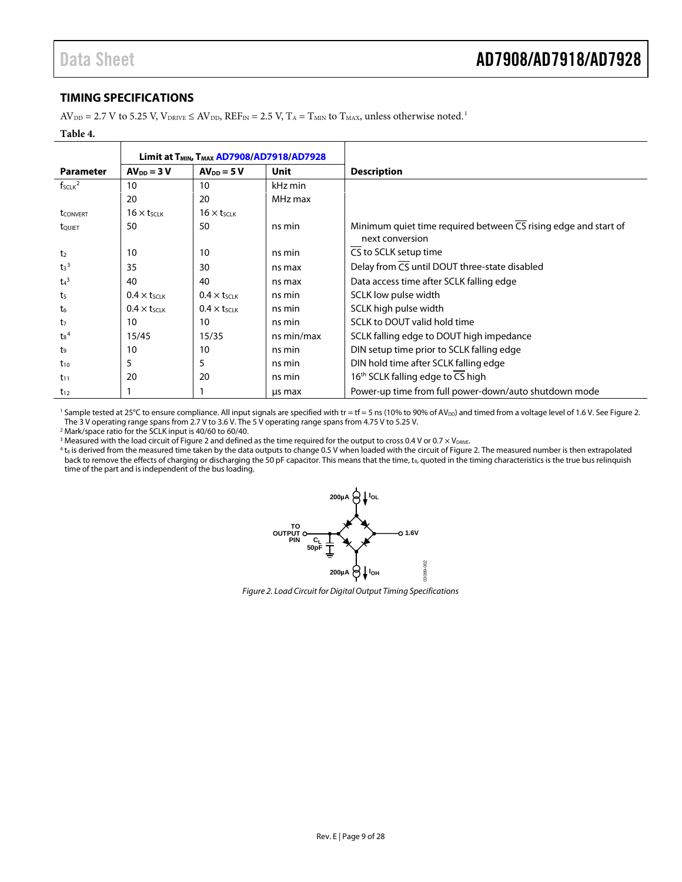#### <span id="page-8-0"></span>**TIMING SPECIFICATIONS**

 $AV_{DD} = 2.7$  V to 5.25 V,  $V_{DRIVE} \le AV_{DD}$ ,  $REF_{IN} = 2.5$  V,  $T_A = T_{MIN}$  to  $T_{MAX}$ , unless otherwise noted.<sup>1</sup>

| abie |
|------|
|      |

|                    | Limit at T <sub>MIN</sub> , T <sub>MAX</sub> AD7908/AD7918/AD7928 |                      |            |                                                                                                 |
|--------------------|-------------------------------------------------------------------|----------------------|------------|-------------------------------------------------------------------------------------------------|
| <b>Parameter</b>   | $AV_{DD} = 3 V$                                                   | $AV_{DD} = 5V$       | Unit       | <b>Description</b>                                                                              |
| $f_{SCLK}^2$       | 10                                                                | 10                   | kHz min    |                                                                                                 |
|                    | 20                                                                | 20                   | MHz max    |                                                                                                 |
| <b>t</b> CONVERT   | $16 \times t_{SCLK}$                                              | $16 \times t_{SCLK}$ |            |                                                                                                 |
| tQUIET             | 50                                                                | 50                   | ns min     | Minimum quiet time required between $\overline{CS}$ rising edge and start of<br>next conversion |
| t <sub>2</sub>     | 10                                                                | 10                   | ns min     | CS to SCLK setup time                                                                           |
| $t_3$ <sup>3</sup> | 35                                                                | 30                   | ns max     | Delay from CS until DOUT three-state disabled                                                   |
| $t_4$ <sup>3</sup> | 40                                                                | 40                   | ns max     | Data access time after SCLK falling edge                                                        |
| t <sub>5</sub>     | $0.4 \times t$ <sub>SCLK</sub>                                    | $0.4 \times t$ SCLK  | ns min     | SCLK low pulse width                                                                            |
| t <sub>6</sub>     | $0.4 \times t$ <sub>SCLK</sub>                                    | $0.4 \times t$ SCLK  | ns min     | SCLK high pulse width                                                                           |
| t7                 | 10                                                                | 10                   | ns min     | SCLK to DOUT valid hold time                                                                    |
| $t_8^4$            | 15/45                                                             | 15/35                | ns min/max | SCLK falling edge to DOUT high impedance                                                        |
| t,                 | 10                                                                | 10                   | ns min     | DIN setup time prior to SCLK falling edge                                                       |
| $t_{10}$           | 5                                                                 | 5                    | ns min     | DIN hold time after SCLK falling edge                                                           |
| $t_{11}$           | 20                                                                | 20                   | ns min     | 16 <sup>th</sup> SCLK falling edge to CS high                                                   |
| $t_{12}$           |                                                                   |                      | us max     | Power-up time from full power-down/auto shutdown mode                                           |

<sup>1</sup> Sample tested at 25°C to ensure compliance. All input signals are specified with tr = tf = 5 ns (10% to 90% of AV<sub>DD</sub>) and timed from a voltage level of 1.6 V. See Figure 2. The 3 V operating range spans from 2.7 V to 3.6 V. The 5 V operating range spans from 4.75 V to 5.25 V.

<sup>2</sup> Mark/space ratio for the SCLK input is 40/60 to 60/40.

<sup>3</sup> Measured with the load circuit o[f Figure 2](#page-8-1) and defined as the time required for the output to cross 0.4 V or 0.7 × V<sub>DRIVE</sub>.

<span id="page-8-1"></span><sup>4</sup> t<sub>8</sub> is derived from the measured time taken by the data outputs to change 0.5 V when loaded with the circuit o[f Figure 2.](#page-8-1) The measured number is then extrapolated back to remove the effects of charging or discharging the 50 pF capacitor. This means that the time, t<sub>8</sub>, quoted in the timing characteristics is the true bus relinquish time of the part and is independent of the bus loading.



*Figure 2. Load Circuit for Digital Output Timing Specifications*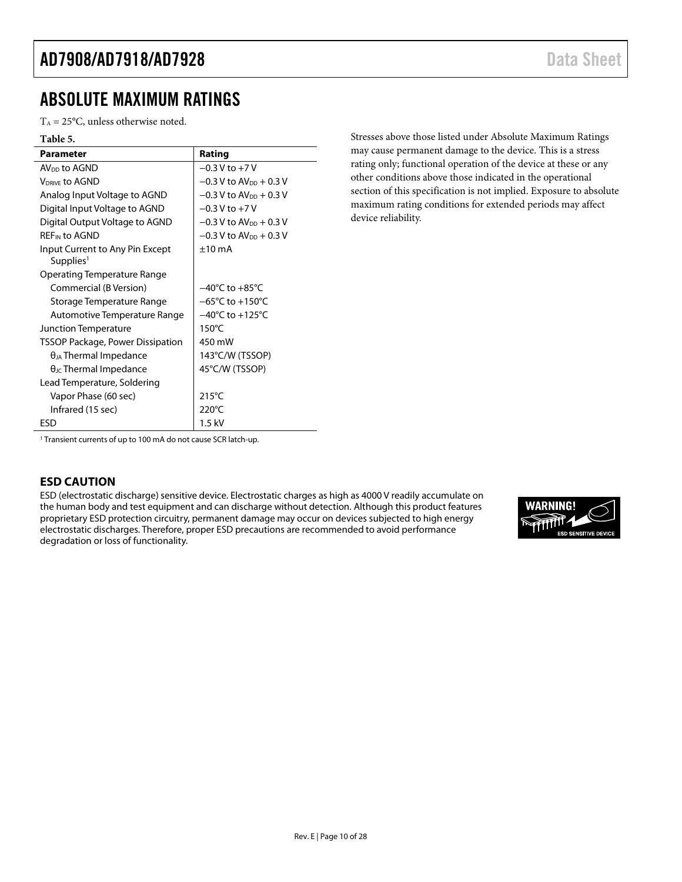## <span id="page-9-0"></span>ABSOLUTE MAXIMUM RATINGS

 $T_A = 25$ °C, unless otherwise noted.

| <b>Table 5.</b>                                          |                                      |
|----------------------------------------------------------|--------------------------------------|
| <b>Parameter</b>                                         | Rating                               |
| AV <sub>DD</sub> to AGND                                 | $-0.3$ V to $+7$ V                   |
| <b>VDRIVE to AGND</b>                                    | $-0.3$ V to AV <sub>DD</sub> + 0.3 V |
| Analog Input Voltage to AGND                             | $-0.3$ V to AV <sub>DD</sub> + 0.3 V |
| Digital Input Voltage to AGND                            | $-0.3$ V to $+7$ V                   |
| Digital Output Voltage to AGND                           | $-0.3$ V to AV <sub>DD</sub> + 0.3 V |
| <b>REF<sub>IN</sub></b> to AGND                          | $-0.3$ V to AV <sub>pp</sub> + 0.3 V |
| Input Current to Any Pin Except<br>Supplies <sup>1</sup> | $±10$ mA                             |
| Operating Temperature Range                              |                                      |
| Commercial (B Version)                                   | $-40^{\circ}$ C to $+85^{\circ}$ C   |
| Storage Temperature Range                                | $-65^{\circ}$ C to $+150^{\circ}$ C  |
| Automotive Temperature Range                             | $-40^{\circ}$ C to $+125^{\circ}$ C  |
| Junction Temperature                                     | 150 $\degree$ C                      |
| <b>TSSOP Package, Power Dissipation</b>                  | 450 mW                               |
| $\theta_{JA}$ Thermal Impedance                          | 143°C/W (TSSOP)                      |
| $\theta_{\text{JC}}$ Thermal Impedance                   | 45°C/W (TSSOP)                       |
| Lead Temperature, Soldering                              |                                      |
| Vapor Phase (60 sec)                                     | $215^{\circ}$ C                      |
| Infrared (15 sec)                                        | 220°C                                |
| ESD                                                      | $1.5$ kV                             |

Stresses above those listed under Absolute Maximum Ratings may cause permanent damage to the device. This is a stress rating only; functional operation of the device at these or any other conditions above those indicated in the operational section of this specification is not implied. Exposure to absolute maximum rating conditions for extended periods may affect device reliability.

<sup>1</sup> Transient currents of up to 100 mA do not cause SCR latch-up.

#### <span id="page-9-1"></span>**ESD CAUTION**

ESD (electrostatic discharge) sensitive device. Electrostatic charges as high as 4000 V readily accumulate on the human body and test equipment and can discharge without detection. Although this product features proprietary ESD protection circuitry, permanent damage may occur on devices subjected to high energy electrostatic discharges. Therefore, proper ESD precautions are recommended to avoid performance degradation or loss of functionality.

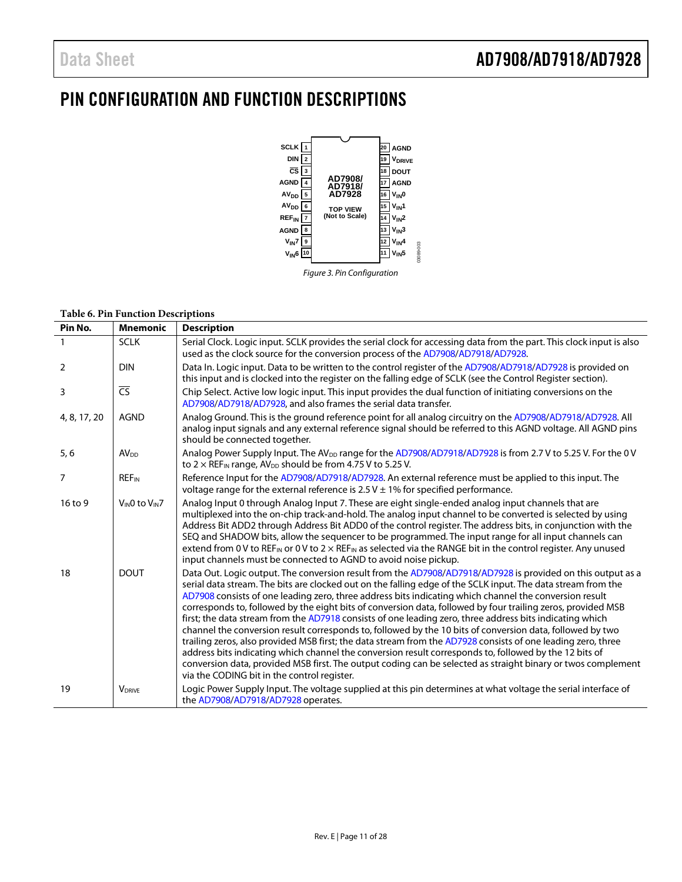# <span id="page-10-0"></span>PIN CONFIGURATION AND FUNCTION DESCRIPTIONS



#### *Figure 3. Pin Configuration*

#### **Table 6. Pin Function Descriptions**

| Pin No.        | <b>Mnemonic</b>          | <b>Description</b>                                                                                                                                                                                                                                                                                                                                                                                                                                                                                                                                                                                                                                                                                                                                                                                                                                                                                                                                                                                                                                                      |
|----------------|--------------------------|-------------------------------------------------------------------------------------------------------------------------------------------------------------------------------------------------------------------------------------------------------------------------------------------------------------------------------------------------------------------------------------------------------------------------------------------------------------------------------------------------------------------------------------------------------------------------------------------------------------------------------------------------------------------------------------------------------------------------------------------------------------------------------------------------------------------------------------------------------------------------------------------------------------------------------------------------------------------------------------------------------------------------------------------------------------------------|
|                | <b>SCLK</b>              | Serial Clock. Logic input. SCLK provides the serial clock for accessing data from the part. This clock input is also<br>used as the clock source for the conversion process of the AD7908/AD7918/AD7928.                                                                                                                                                                                                                                                                                                                                                                                                                                                                                                                                                                                                                                                                                                                                                                                                                                                                |
| $\overline{2}$ | <b>DIN</b>               | Data In. Logic input. Data to be written to the control register of the AD7908/AD7918/AD7928 is provided on<br>this input and is clocked into the register on the falling edge of SCLK (see the Control Register section).                                                                                                                                                                                                                                                                                                                                                                                                                                                                                                                                                                                                                                                                                                                                                                                                                                              |
| 3              | $\overline{\mathsf{CS}}$ | Chip Select. Active low logic input. This input provides the dual function of initiating conversions on the<br>AD7908/AD7918/AD7928, and also frames the serial data transfer.                                                                                                                                                                                                                                                                                                                                                                                                                                                                                                                                                                                                                                                                                                                                                                                                                                                                                          |
| 4, 8, 17, 20   | <b>AGND</b>              | Analog Ground. This is the ground reference point for all analog circuitry on the AD7908/AD7918/AD7928. All<br>analog input signals and any external reference signal should be referred to this AGND voltage. All AGND pins<br>should be connected together.                                                                                                                                                                                                                                                                                                                                                                                                                                                                                                                                                                                                                                                                                                                                                                                                           |
| 5, 6           | AV <sub>DD</sub>         | Analog Power Supply Input. The AV <sub>DD</sub> range for the AD7908/AD7918/AD7928 is from 2.7 V to 5.25 V. For the 0 V<br>to $2 \times$ REF <sub>IN</sub> range, AV <sub>DD</sub> should be from 4.75 V to 5.25 V.                                                                                                                                                                                                                                                                                                                                                                                                                                                                                                                                                                                                                                                                                                                                                                                                                                                     |
| 7              | <b>REF<sub>IN</sub></b>  | Reference Input for the AD7908/AD7918/AD7928. An external reference must be applied to this input. The<br>voltage range for the external reference is $2.5$ V $\pm$ 1% for specified performance.                                                                                                                                                                                                                                                                                                                                                                                                                                                                                                                                                                                                                                                                                                                                                                                                                                                                       |
| 16 to 9        | $V_{IN}0$ to $V_{IN}7$   | Analog Input 0 through Analog Input 7. These are eight single-ended analog input channels that are<br>multiplexed into the on-chip track-and-hold. The analog input channel to be converted is selected by using<br>Address Bit ADD2 through Address Bit ADD0 of the control register. The address bits, in conjunction with the<br>SEQ and SHADOW bits, allow the sequencer to be programmed. The input range for all input channels can<br>extend from 0 V to REF <sub>IN</sub> or 0 V to 2 $\times$ REF <sub>IN</sub> as selected via the RANGE bit in the control register. Any unused<br>input channels must be connected to AGND to avoid noise pickup.                                                                                                                                                                                                                                                                                                                                                                                                           |
| 18             | <b>DOUT</b>              | Data Out. Logic output. The conversion result from the AD7908/AD7918/AD7928 is provided on this output as a<br>serial data stream. The bits are clocked out on the falling edge of the SCLK input. The data stream from the<br>AD7908 consists of one leading zero, three address bits indicating which channel the conversion result<br>corresponds to, followed by the eight bits of conversion data, followed by four trailing zeros, provided MSB<br>first; the data stream from the AD7918 consists of one leading zero, three address bits indicating which<br>channel the conversion result corresponds to, followed by the 10 bits of conversion data, followed by two<br>trailing zeros, also provided MSB first; the data stream from the AD7928 consists of one leading zero, three<br>address bits indicating which channel the conversion result corresponds to, followed by the 12 bits of<br>conversion data, provided MSB first. The output coding can be selected as straight binary or twos complement<br>via the CODING bit in the control register. |
| 19             | <b>VDRIVE</b>            | Logic Power Supply Input. The voltage supplied at this pin determines at what voltage the serial interface of<br>the AD7908/AD7918/AD7928 operates.                                                                                                                                                                                                                                                                                                                                                                                                                                                                                                                                                                                                                                                                                                                                                                                                                                                                                                                     |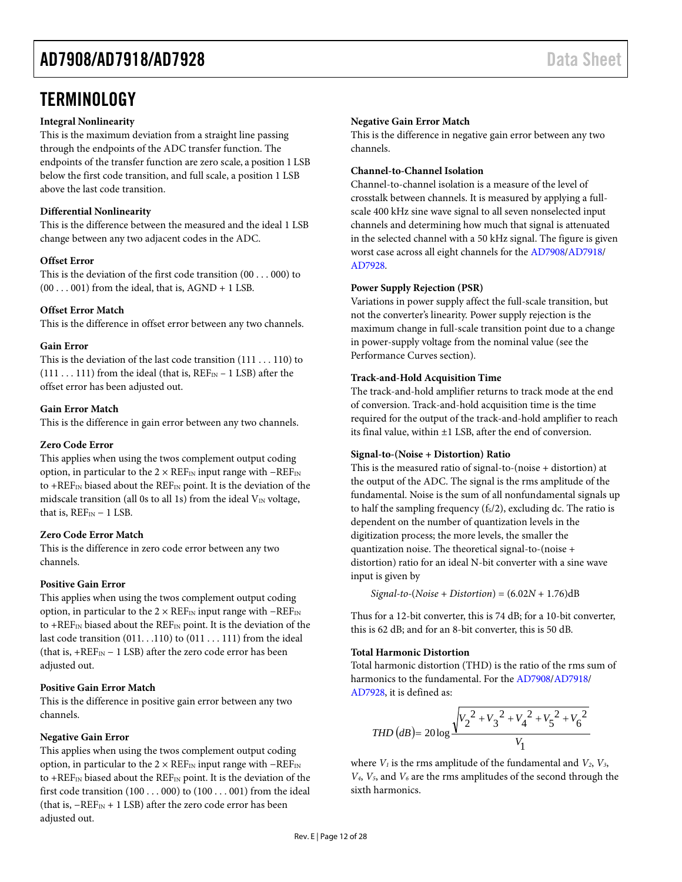### <span id="page-11-0"></span>**TERMINOLOGY**

#### **Integral Nonlinearity**

This is the maximum deviation from a straight line passing through the endpoints of the ADC transfer function. The endpoints of the transfer function are zero scale, a position 1 LSB below the first code transition, and full scale, a position 1 LSB above the last code transition.

#### **Differential Nonlinearity**

This is the difference between the measured and the ideal 1 LSB change between any two adjacent codes in the ADC.

#### **Offset Error**

This is the deviation of the first code transition (00 . . . 000) to  $(00 \dots 001)$  from the ideal, that is, AGND + 1 LSB.

#### **Offset Error Match**

This is the difference in offset error between any two channels.

#### **Gain Error**

This is the deviation of the last code transition (111 . . . 110) to  $(111 \ldots 111)$  from the ideal (that is,  $REF_{IN}-1$  LSB) after the offset error has been adjusted out.

#### **Gain Error Match**

This is the difference in gain error between any two channels.

#### **Zero Code Error**

This applies when using the twos complement output coding option, in particular to the  $2 \times \text{REF}_{\text{IN}}$  input range with  $-\text{REF}_{\text{IN}}$ to + $REF_{IN}$  biased about the  $REF_{IN}$  point. It is the deviation of the midscale transition (all 0s to all 1s) from the ideal  $V_{IN}$  voltage, that is,  $REF_{IN}-1$  LSB.

#### **Zero Code Error Match**

This is the difference in zero code error between any two channels.

#### **Positive Gain Error**

This applies when using the twos complement output coding option, in particular to the  $2 \times \text{REF}_{\text{IN}}$  input range with  $-\text{REF}_{\text{IN}}$ to +REF<sub>IN</sub> biased about the REF<sub>IN</sub> point. It is the deviation of the last code transition (011. . .110) to (011 . . . 111) from the ideal (that is,  $+REF_{IN}-1$  LSB) after the zero code error has been adjusted out.

#### **Positive Gain Error Match**

This is the difference in positive gain error between any two channels.

#### **Negative Gain Error**

This applies when using the twos complement output coding option, in particular to the  $2 \times \text{REF}_{\text{IN}}$  input range with  $-\text{REF}_{\text{IN}}$ to +REF<sub>IN</sub> biased about the REF<sub>IN</sub> point. It is the deviation of the first code transition (100 . . . 000) to (100 . . . 001) from the ideal (that is,  $-REF_N + 1$  LSB) after the zero code error has been adjusted out.

#### **Negative Gain Error Match**

This is the difference in negative gain error between any two channels.

#### **Channel-to-Channel Isolation**

Channel-to-channel isolation is a measure of the level of crosstalk between channels. It is measured by applying a fullscale 400 kHz sine wave signal to all seven nonselected input channels and determining how much that signal is attenuated in the selected channel with a 50 kHz signal. The figure is given worst case across all eight channels for th[e AD7908](http://www.analog.com/ad7908?doc=ad7908_7918_7928.pdf)[/AD7918/](http://www.analog.com/ad7918?doc=ad7908_7918_7928.pdf) [AD7928.](http://www.analog.com/ad7928?doc=AD7908_7918_7928.pdf)

#### **Power Supply Rejection (PSR)**

Variations in power supply affect the full-scale transition, but not the converter's linearity. Power supply rejection is the maximum change in full-scale transition point due to a change in power-supply voltage from the nominal value (see the [Performance Curves](#page-12-1) section).

#### **Track-and-Hold Acquisition Time**

The track-and-hold amplifier returns to track mode at the end of conversion. Track-and-hold acquisition time is the time required for the output of the track-and-hold amplifier to reach its final value, within ±1 LSB, after the end of conversion.

#### **Signal-to-(Noise + Distortion) Ratio**

This is the measured ratio of signal-to-(noise + distortion) at the output of the ADC. The signal is the rms amplitude of the fundamental. Noise is the sum of all nonfundamental signals up to half the sampling frequency  $(f<sub>S</sub>/2)$ , excluding dc. The ratio is dependent on the number of quantization levels in the digitization process; the more levels, the smaller the quantization noise. The theoretical signal-to-(noise + distortion) ratio for an ideal N-bit converter with a sine wave input is given by

*Signal-to-*(*Noise* + *Distortion*) = (6.02*N* + 1.76)dB

Thus for a 12-bit converter, this is 74 dB; for a 10-bit converter, this is 62 dB; and for an 8-bit converter, this is 50 dB.

#### **Total Harmonic Distortion**

Total harmonic distortion (THD) is the ratio of the rms sum of harmonics to the fundamental. For the [AD7908/](http://www.analog.com/ad7908?doc=ad7908_7918_7928.pdf)[AD7918/](http://www.analog.com/ad7918?doc=ad7908_7918_7928.pdf) [AD7928,](http://www.analog.com/ad7928?doc=AD7908_7918_7928.pdf) it is defined as:

$$
THD(dB) = 20 \log \frac{\sqrt{{V_2}^2 + {V_3}^2 + {V_4}^2 + {V_5}^2 + {V_6}^2}}{V_1}
$$

where  $V_1$  is the rms amplitude of the fundamental and  $V_2$ ,  $V_3$ , *V4*, *V5*, and *V6* are the rms amplitudes of the second through the sixth harmonics.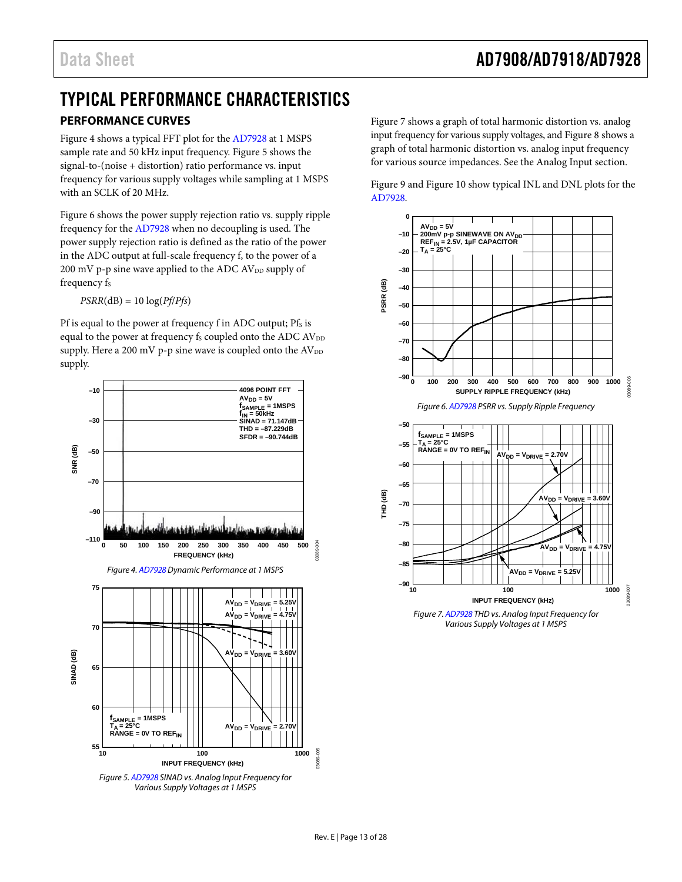### <span id="page-12-1"></span><span id="page-12-0"></span>TYPICAL PERFORMANCE CHARACTERISTICS **PERFORMANCE CURVES**

[Figure 4](#page-12-2) shows a typical FFT plot for the [AD7928 a](http://www.analog.com/ad7928?doc=AD7908_7918_7928.pdf)t 1 MSPS sample rate and 50 kHz input frequency. [Figure 5](#page-12-3) shows the signal-to-(noise + distortion) ratio performance vs. input frequency for various supply voltages while sampling at 1 MSPS with an SCLK of 20 MHz.

[Figure 6](#page-12-4) shows the power supply rejection ratio vs. supply ripple frequency for th[e AD7928](http://www.analog.com/ad7928?doc=AD7908_7918_7928.pdf) when no decoupling is used. The power supply rejection ratio is defined as the ratio of the power in the ADC output at full-scale frequency f, to the power of a  $200 \text{ mV}$  p-p sine wave applied to the ADC AV<sub>DD</sub> supply of frequency fs

 $PSRR(dB) = 10 log(Pf/Pfs)$ 

Pf is equal to the power at frequency f in ADC output; Pfs is equal to the power at frequency  $\rm f_{\rm s}$  coupled onto the ADC  $\rm AV_{\rm DD}$ supply. Here a 200 mV p-p sine wave is coupled onto the  $AV_{DD}$ supply.

<span id="page-12-2"></span>

<span id="page-12-3"></span>Figure 5[. AD7928 S](http://www.analog.com/ad7928?doc=AD7908_7918_7928.pdf)INAD vs. Analog Input Frequency for Various Supply Voltages at 1 MSPS

[Figure 7](#page-12-5) shows a graph of total harmonic distortion vs. analog input frequency for various supply voltages, an[d Figure 8](#page-13-0) shows a graph of total harmonic distortion vs. analog input frequency for various source impedances. See th[e Analog Input](#page-17-2) section.



<span id="page-12-4"></span>

<span id="page-12-5"></span>Figure 7[. AD7928 T](http://www.analog.com/ad7928?doc=AD7908_7918_7928.pdf)HD vs. Analog Input Frequency for Various Supply Voltages at 1 MSPS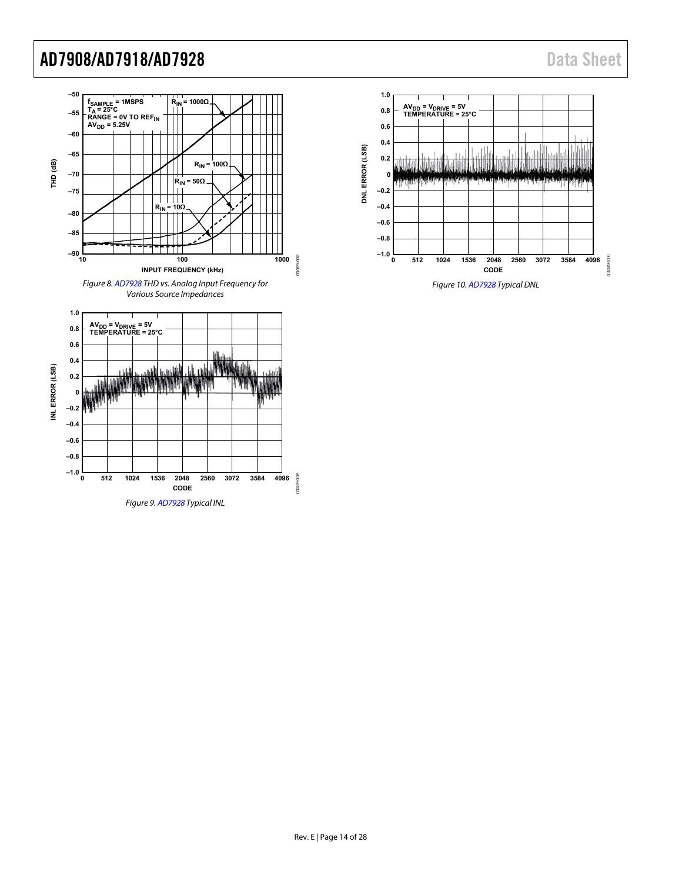<span id="page-13-1"></span><span id="page-13-0"></span>

<span id="page-13-2"></span>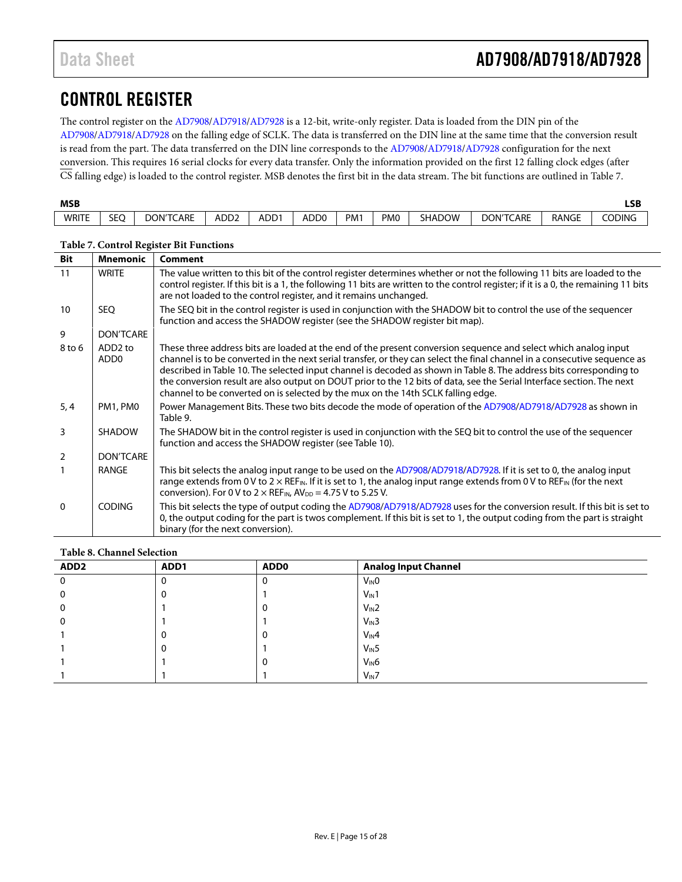## <span id="page-14-0"></span>CONTROL REGISTER

The control register on the [AD7908/](http://www.analog.com/ad7908?doc=ad7908_7918_7928.pdf)[AD7918/](http://www.analog.com/ad7918?doc=ad7908_7918_7928.pdf)[AD7928](http://www.analog.com/ad7928?doc=AD7908_7918_7928.pdf) is a 12-bit, write-only register. Data is loaded from the DIN pin of the [AD7908](http://www.analog.com/ad7908?doc=ad7908_7918_7928.pdf)[/AD7918/](http://www.analog.com/ad7918?doc=ad7908_7918_7928.pdf)[AD7928](http://www.analog.com/ad7928?doc=AD7908_7918_7928.pdf) on the falling edge of SCLK. The data is transferred on the DIN line at the same time that the conversion result is read from the part. The data transferred on the DIN line corresponds to th[e AD7908](http://www.analog.com/ad7908?doc=ad7908_7918_7928.pdf)[/AD7918/](http://www.analog.com/ad7918?doc=ad7908_7918_7928.pdf)[AD7928](http://www.analog.com/ad7928?doc=AD7908_7918_7928.pdf) configuration for the next conversion. This requires 16 serial clocks for every data transfer. Only the information provided on the first 12 falling clock edges (after CS falling edge) is loaded to the control register. MSB denotes the first bit in the data stream. The bit functions are outlined i[n Table 7.](#page-14-1)

| <b>MSB</b><br>__ |                         |                  |                  |      |                  |                 |                 |               |                  |              | <b>LSB</b><br>$ -$ |
|------------------|-------------------------|------------------|------------------|------|------------------|-----------------|-----------------|---------------|------------------|--------------|--------------------|
| <b>WRITE</b>     | $\sim$ $\sim$<br>╰<br>◡ | <b>DON'TCARE</b> | ADD <sub>2</sub> | ADD1 | ADD <sub>0</sub> | PM <sub>1</sub> | PM <sub>0</sub> | <b>SHADOW</b> | <b>DON'TCARE</b> | <b>RANGE</b> | Coding             |

| <b>Bit</b>     | <b>Mnemonic</b>                         | <b>Comment</b>                                                                                                                                                                                                                                                                                                                                                                                                                                                                                                                                                                    |
|----------------|-----------------------------------------|-----------------------------------------------------------------------------------------------------------------------------------------------------------------------------------------------------------------------------------------------------------------------------------------------------------------------------------------------------------------------------------------------------------------------------------------------------------------------------------------------------------------------------------------------------------------------------------|
| 11             | <b>WRITE</b>                            | The value written to this bit of the control register determines whether or not the following 11 bits are loaded to the<br>control register. If this bit is a 1, the following 11 bits are written to the control register; if it is a 0, the remaining 11 bits<br>are not loaded to the control register, and it remains unchanged.                                                                                                                                                                                                                                              |
| 10             | <b>SEO</b>                              | The SEQ bit in the control register is used in conjunction with the SHADOW bit to control the use of the sequencer<br>function and access the SHADOW register (see the SHADOW register bit map).                                                                                                                                                                                                                                                                                                                                                                                  |
| 9              | <b>DON'TCARE</b>                        |                                                                                                                                                                                                                                                                                                                                                                                                                                                                                                                                                                                   |
| 8 to 6         | ADD <sub>2</sub> to<br>ADD <sub>0</sub> | These three address bits are loaded at the end of the present conversion sequence and select which analog input<br>channel is to be converted in the next serial transfer, or they can select the final channel in a consecutive sequence as<br>described in Table 10. The selected input channel is decoded as shown in Table 8. The address bits corresponding to<br>the conversion result are also output on DOUT prior to the 12 bits of data, see the Serial Interface section. The next<br>channel to be converted on is selected by the mux on the 14th SCLK falling edge. |
| 5, 4           | PM1, PM0                                | Power Management Bits. These two bits decode the mode of operation of the AD7908/AD7918/AD7928 as shown in<br>Table 9.                                                                                                                                                                                                                                                                                                                                                                                                                                                            |
| $\overline{3}$ | <b>SHADOW</b>                           | The SHADOW bit in the control register is used in conjunction with the SEQ bit to control the use of the sequencer<br>function and access the SHADOW register (see Table 10).                                                                                                                                                                                                                                                                                                                                                                                                     |
| $\overline{2}$ | <b>DON'TCARE</b>                        |                                                                                                                                                                                                                                                                                                                                                                                                                                                                                                                                                                                   |
| $\mathbf{1}$   | RANGE                                   | This bit selects the analog input range to be used on the AD7908/AD7918/AD7928. If it is set to 0, the analog input<br>range extends from 0 V to $2 \times$ REF <sub>IN</sub> . If it is set to 1, the analog input range extends from 0 V to REF <sub>IN</sub> (for the next<br>conversion). For 0 V to $2 \times$ REF <sub>IN</sub> , $AV_{DD} = 4.75$ V to 5.25 V.                                                                                                                                                                                                             |
| $\Omega$       | CODING                                  | This bit selects the type of output coding the AD7908/AD7918/AD7928 uses for the conversion result. If this bit is set to<br>0, the output coding for the part is twos complement. If this bit is set to 1, the output coding from the part is straight<br>binary (for the next conversion).                                                                                                                                                                                                                                                                                      |

#### <span id="page-14-1"></span>**Table 7. Control Register Bit Functions**

#### <span id="page-14-2"></span>**Table 8. Channel Selection**

| - wore of gamman oververon. |      |             |                             |  |  |  |  |
|-----------------------------|------|-------------|-----------------------------|--|--|--|--|
| ADD <sub>2</sub>            | ADD1 | <b>ADD0</b> | <b>Analog Input Channel</b> |  |  |  |  |
| 0                           |      | 0           | $V_{IN}0$                   |  |  |  |  |
|                             |      |             | $V_{IN}1$                   |  |  |  |  |
| 0                           |      | 0           | $V_{IN}2$                   |  |  |  |  |
| 0                           |      |             | $V_{IN}3$                   |  |  |  |  |
|                             |      | 0           | $V_{IN}4$                   |  |  |  |  |
|                             |      |             | $V_{IN}5$                   |  |  |  |  |
|                             |      | 0           | V <sub>IN</sub> 6           |  |  |  |  |
|                             |      |             | $V_{IN}$ 7                  |  |  |  |  |
|                             |      |             |                             |  |  |  |  |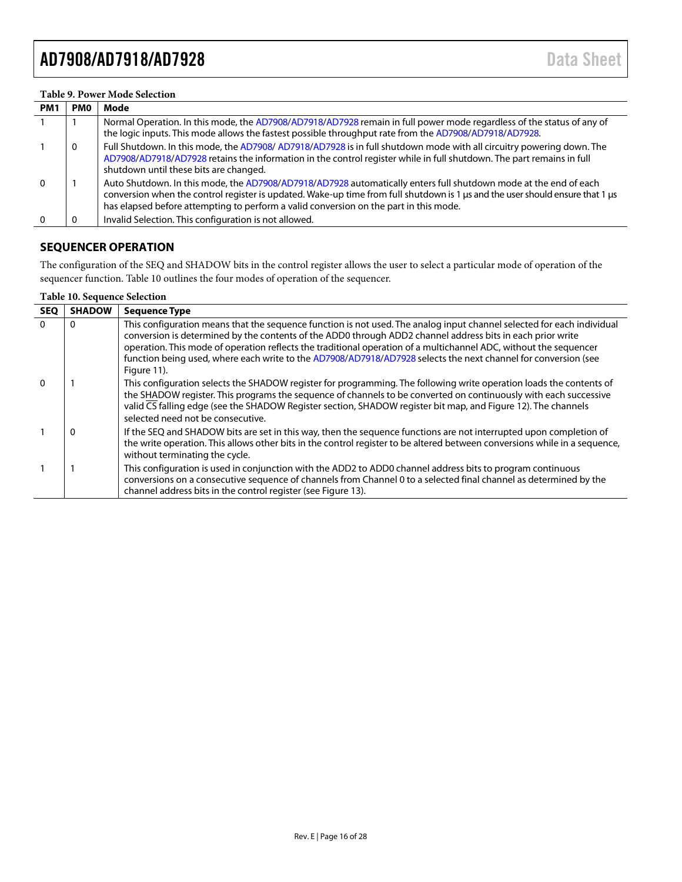#### <span id="page-15-2"></span>**Table 9. Power Mode Selection**

| <b>PMO</b><br>PM <sub>1</sub> | Mode                                                                                                                                                                                                                                                                                                                                       |
|-------------------------------|--------------------------------------------------------------------------------------------------------------------------------------------------------------------------------------------------------------------------------------------------------------------------------------------------------------------------------------------|
|                               | Normal Operation. In this mode, the AD7908/AD7918/AD7928 remain in full power mode regardless of the status of any of<br>the logic inputs. This mode allows the fastest possible throughput rate from the AD7908/AD7918/AD7928.                                                                                                            |
| 0                             | Full Shutdown. In this mode, the AD7908/AD7918/AD7928 is in full shutdown mode with all circuitry powering down. The<br>AD7908/AD7918/AD7928 retains the information in the control register while in full shutdown. The part remains in full<br>shutdown until these bits are changed.                                                    |
|                               | Auto Shutdown. In this mode, the AD7908/AD7918/AD7928 automatically enters full shutdown mode at the end of each<br>conversion when the control register is updated. Wake-up time from full shutdown is 1 µs and the user should ensure that 1 µs<br>has elapsed before attempting to perform a valid conversion on the part in this mode. |
|                               | Invalid Selection. This configuration is not allowed.                                                                                                                                                                                                                                                                                      |

#### <span id="page-15-0"></span>**SEQUENCER OPERATION**

The configuration of the SEQ and SHADOW bits in the control register allows the user to select a particular mode of operation of the sequencer function. [Table 10](#page-15-1) outlines the four modes of operation of the sequencer.

#### <span id="page-15-1"></span>**Table 10. Sequence Selection**

| <b>SEQ</b> | <b>SHADOW</b> | <b>Sequence Type</b>                                                                                                                                                                                                                                                                                                                                                                                                                                                                       |
|------------|---------------|--------------------------------------------------------------------------------------------------------------------------------------------------------------------------------------------------------------------------------------------------------------------------------------------------------------------------------------------------------------------------------------------------------------------------------------------------------------------------------------------|
| $\Omega$   | $\Omega$      | This configuration means that the sequence function is not used. The analog input channel selected for each individual<br>conversion is determined by the contents of the ADD0 through ADD2 channel address bits in each prior write<br>operation. This mode of operation reflects the traditional operation of a multichannel ADC, without the sequencer<br>function being used, where each write to the AD7908/AD7918/AD7928 selects the next channel for conversion (see<br>Figure 11). |
| $\Omega$   |               | This configuration selects the SHADOW register for programming. The following write operation loads the contents of<br>the SHADOW register. This programs the sequence of channels to be converted on continuously with each successive<br>valid CS falling edge (see the SHADOW Register section, SHADOW register bit map, and Figure 12). The channels<br>selected need not be consecutive.                                                                                              |
|            | $\Omega$      | If the SEQ and SHADOW bits are set in this way, then the sequence functions are not interrupted upon completion of<br>the write operation. This allows other bits in the control register to be altered between conversions while in a sequence,<br>without terminating the cycle.                                                                                                                                                                                                         |
|            |               | This configuration is used in conjunction with the ADD2 to ADD0 channel address bits to program continuous<br>conversions on a consecutive sequence of channels from Channel 0 to a selected final channel as determined by the<br>channel address bits in the control register (see Figure 13).                                                                                                                                                                                           |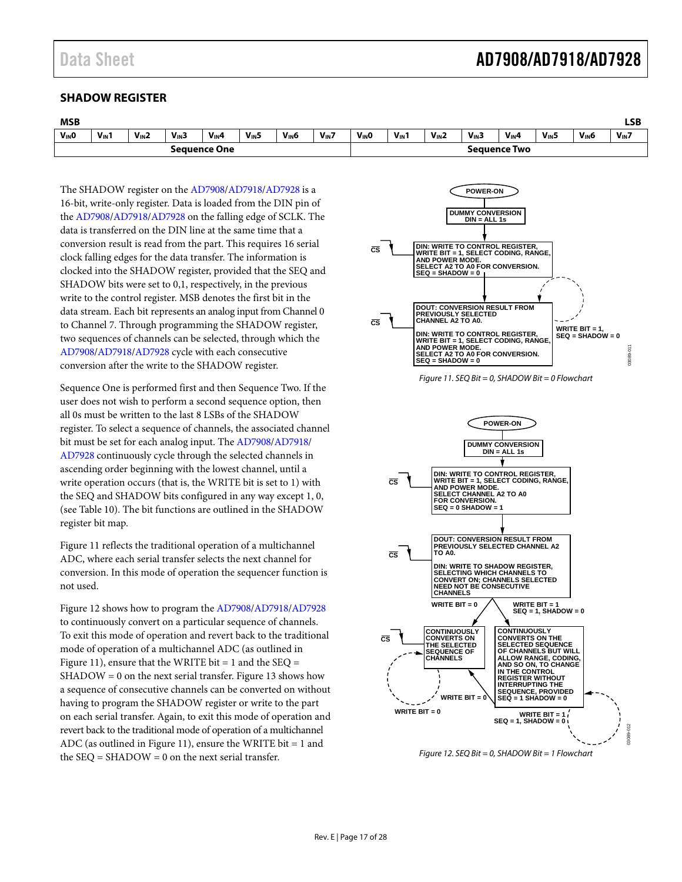#### <span id="page-16-0"></span>**SHADOW REGISTER**

| <b>MSB</b>          |           |           |            |           |           |                     |            |                   |                  |           |            |           |           |                   | LSB        |
|---------------------|-----------|-----------|------------|-----------|-----------|---------------------|------------|-------------------|------------------|-----------|------------|-----------|-----------|-------------------|------------|
| V <sub>IN</sub> O   | $V_{IN}1$ | $V_{IN}2$ | $V_{IN}$ 3 | $V_{IN}4$ | $V_{IN}5$ | V <sub>IN</sub> 6   | $V_{IN}$ 7 | V <sub>IN</sub> O | $V_{\text{IN}}1$ | $V_{IN}2$ | $V_{IN}$ 3 | $V_{IN}4$ | $V_{IN}5$ | V <sub>IN</sub> 6 | $V_{IN}$ 7 |
| <b>Sequence One</b> |           |           |            |           |           | <b>Sequence Two</b> |            |                   |                  |           |            |           |           |                   |            |

The SHADOW register on the [AD7908/](http://www.analog.com/ad7908?doc=ad7908_7918_7928.pdf)[AD7918/](http://www.analog.com/ad7918?doc=ad7908_7918_7928.pdf)[AD7928](http://www.analog.com/ad7928?doc=AD7908_7918_7928.pdf) is a 16-bit, write-only register. Data is loaded from the DIN pin of the [AD7908/](http://www.analog.com/ad7908?doc=ad7908_7918_7928.pdf)[AD7918](http://www.analog.com/ad7918?doc=ad7908_7918_7928.pdf)[/AD7928](http://www.analog.com/ad7928?doc=AD7908_7918_7928.pdf) on the falling edge of SCLK. The data is transferred on the DIN line at the same time that a conversion result is read from the part. This requires 16 serial clock falling edges for the data transfer. The information is clocked into the SHADOW register, provided that the SEQ and SHADOW bits were set to 0,1, respectively, in the previous write to the control register. MSB denotes the first bit in the data stream. Each bit represents an analog input from Channel 0 to Channel 7. Through programming the SHADOW register, two sequences of channels can be selected, through which the [AD7908](http://www.analog.com/ad7908?doc=ad7908_7918_7928.pdf)[/AD7918/](http://www.analog.com/ad7918?doc=ad7908_7918_7928.pdf)[AD7928](http://www.analog.com/ad7928?doc=AD7908_7918_7928.pdf) cycle with each consecutive conversion after the write to the SHADOW register.

Sequence One is performed first and then Sequence Two. If the user does not wish to perform a second sequence option, then all 0s must be written to the last 8 LSBs of the SHADOW register. To select a sequence of channels, the associated channel bit must be set for each analog input. Th[e AD7908](http://www.analog.com/ad7908?doc=ad7908_7918_7928.pdf)[/AD7918/](http://www.analog.com/ad7918?doc=ad7908_7918_7928.pdf) [AD7928 c](http://www.analog.com/ad7928?doc=AD7908_7918_7928.pdf)ontinuously cycle through the selected channels in ascending order beginning with the lowest channel, until a write operation occurs (that is, the WRITE bit is set to 1) with the SEQ and SHADOW bits configured in any way except 1, 0, (see [Table 10\)](#page-15-1). The bit functions are outlined in the SHADOW register bit map.

[Figure 11 r](#page-16-1)eflects the traditional operation of a multichannel ADC, where each serial transfer selects the next channel for conversion. In this mode of operation the sequencer function is not used.

[Figure 12 s](#page-16-2)hows how to program th[e AD7908](http://www.analog.com/ad7908?doc=ad7908_7918_7928.pdf)[/AD7918](http://www.analog.com/ad7918?doc=ad7908_7918_7928.pdf)[/AD7928](http://www.analog.com/ad7928?doc=AD7908_7918_7928.pdf) to continuously convert on a particular sequence of channels. To exit this mode of operation and revert back to the traditional mode of operation of a multichannel ADC (as outlined in [Figure 11\)](#page-16-1), ensure that the WRITE bit  $= 1$  and the SEQ  $=$ SHADOW = 0 on the next serial transfer[. Figure 13](#page-17-3) shows how a sequence of consecutive channels can be converted on without having to program the SHADOW register or write to the part on each serial transfer. Again, to exit this mode of operation and revert back to the traditional mode of operation of a multichannel ADC (as outlined in [Figure 11\)](#page-16-1), ensure the WRITE bit  $= 1$  and the  $SEQ = SHADOW = 0$  on the next serial transfer.

<span id="page-16-1"></span>

<span id="page-16-2"></span>Figure 12. SEQ Bit = 0, SHADOW Bit = 1 Flowchart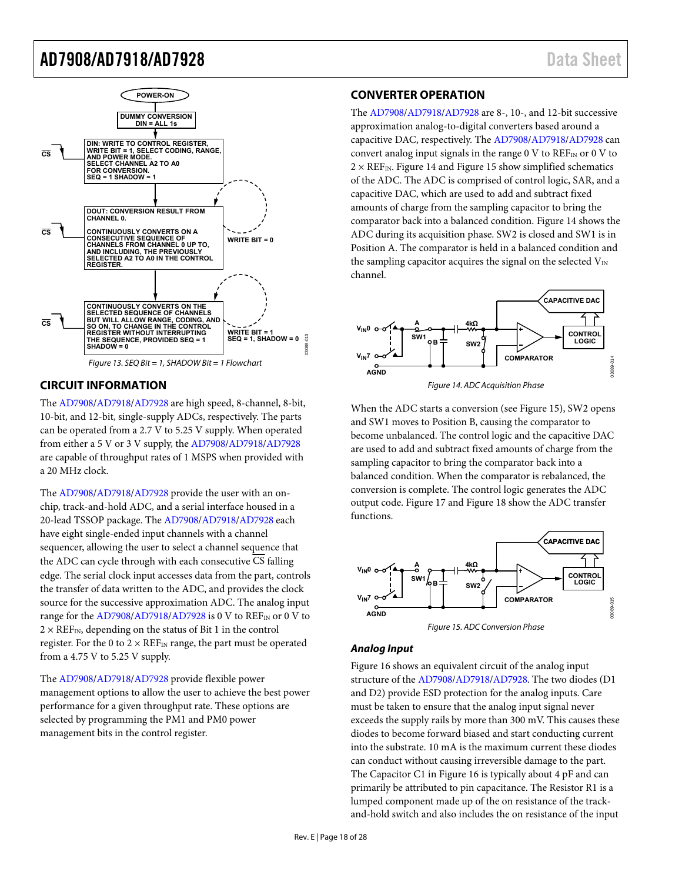

#### <span id="page-17-3"></span><span id="page-17-0"></span>**CIRCUIT INFORMATION**

The [AD7908/](http://www.analog.com/ad7908?doc=ad7908_7918_7928.pdf)[AD7918](http://www.analog.com/ad7918?doc=ad7908_7918_7928.pdf)[/AD7928](http://www.analog.com/ad7928?doc=AD7908_7918_7928.pdf) are high speed, 8-channel, 8-bit, 10-bit, and 12-bit, single-supply ADCs, respectively. The parts can be operated from a 2.7 V to 5.25 V supply. When operated from either a 5 V or 3 V supply, th[e AD7908](http://www.analog.com/ad7908?doc=ad7908_7918_7928.pdf)[/AD7918](http://www.analog.com/ad7918?doc=ad7908_7918_7928.pdf)[/AD7928](http://www.analog.com/ad7928?doc=AD7908_7918_7928.pdf) are capable of throughput rates of 1 MSPS when provided with a 20 MHz clock.

The [AD7908/](http://www.analog.com/ad7908?doc=ad7908_7918_7928.pdf)[AD7918](http://www.analog.com/ad7918?doc=ad7908_7918_7928.pdf)[/AD7928](http://www.analog.com/ad7928?doc=AD7908_7918_7928.pdf) provide the user with an onchip, track-and-hold ADC, and a serial interface housed in a 20-lead TSSOP package. Th[e AD7908](http://www.analog.com/ad7908?doc=ad7908_7918_7928.pdf)[/AD7918/](http://www.analog.com/ad7918?doc=ad7908_7918_7928.pdf)[AD7928 e](http://www.analog.com/ad7928?doc=AD7908_7918_7928.pdf)ach have eight single-ended input channels with a channel sequencer, allowing the user to select a channel sequence that the ADC can cycle through with each consecutive CS falling edge. The serial clock input accesses data from the part, controls the transfer of data written to the ADC, and provides the clock source for the successive approximation ADC. The analog input range for th[e AD7908](http://www.analog.com/ad7908?doc=ad7908_7918_7928.pdf)[/AD7918/](http://www.analog.com/ad7918?doc=ad7908_7918_7928.pdf)[AD7928 i](http://www.analog.com/ad7928?doc=AD7908_7918_7928.pdf)s 0 V to REF<sub>IN</sub> or 0 V to  $2 \times \text{REF}_{IN}$ , depending on the status of Bit 1 in the control register. For the 0 to  $2 \times \text{REF}_{IN}$  range, the part must be operated from a 4.75 V to 5.25 V supply.

The [AD7908/](http://www.analog.com/ad7908?doc=ad7908_7918_7928.pdf)[AD7918](http://www.analog.com/ad7918?doc=ad7908_7918_7928.pdf)[/AD7928](http://www.analog.com/ad7928?doc=AD7908_7918_7928.pdf) provide flexible power management options to allow the user to achieve the best power performance for a given throughput rate. These options are selected by programming the PM1 and PM0 power management bits in the control register.

#### <span id="page-17-1"></span>**CONVERTER OPERATION**

The [AD7908/](http://www.analog.com/ad7908?doc=ad7908_7918_7928.pdf)[AD7918](http://www.analog.com/ad7918?doc=ad7908_7918_7928.pdf)[/AD7928](http://www.analog.com/ad7928?doc=AD7908_7918_7928.pdf) are 8-, 10-, and 12-bit successive approximation analog-to-digital converters based around a capacitive DAC, respectively. Th[e AD7908](http://www.analog.com/ad7908?doc=ad7908_7918_7928.pdf)[/AD7918/](http://www.analog.com/ad7918?doc=ad7908_7918_7928.pdf)[AD7928 c](http://www.analog.com/ad7928?doc=AD7908_7918_7928.pdf)an convert analog input signals in the range 0 V to  $REF_{IN}$  or 0 V to  $2 \times \text{REF}_{\text{IN}}$ . Figur[e 14 and Fig](#page-17-4)ur[e 15 show s](#page-17-5)implified schematics of the ADC. The ADC is comprised of control logic, SAR, and a capacitive DAC, which are used to add and subtract fixed amounts of charge from the sampling capacitor to bring the comparator back into a balanced condition. [Figure 14 s](#page-17-4)hows the ADC during its acquisition phase. SW2 is closed and SW1 is in Position A. The comparator is held in a balanced condition and the sampling capacitor acquires the signal on the selected  $V_{\text{IN}}$ channel.



<span id="page-17-4"></span>When the ADC starts a conversion (se[e Figure 15\)](#page-17-5), SW2 opens and SW1 moves to Position B, causing the comparator to become unbalanced. The control logic and the capacitive DAC are used to add and subtract fixed amounts of charge from the sampling capacitor to bring the comparator back into a balanced condition. When the comparator is rebalanced, the conversion is complete. The control logic generates the ADC output code[. Figure 17](#page-18-3) and [Figure 18 s](#page-18-4)how the ADC transfer functions.





#### <span id="page-17-5"></span><span id="page-17-2"></span>**Analog Input**

[Figure 16 s](#page-18-5)hows an equivalent circuit of the analog input structure of th[e AD7908](http://www.analog.com/ad7908?doc=ad7908_7918_7928.pdf)[/AD7918/](http://www.analog.com/ad7918?doc=ad7908_7918_7928.pdf)[AD7928.](http://www.analog.com/ad7928?doc=AD7908_7918_7928.pdf) The two diodes (D1 and D2) provide ESD protection for the analog inputs. Care must be taken to ensure that the analog input signal never exceeds the supply rails by more than 300 mV. This causes these diodes to become forward biased and start conducting current into the substrate. 10 mA is the maximum current these diodes can conduct without causing irreversible damage to the part. The Capacitor C1 i[n Figure 16](#page-18-5) is typically about 4 pF and can primarily be attributed to pin capacitance. The Resistor R1 is a lumped component made up of the on resistance of the trackand-hold switch and also includes the on resistance of the input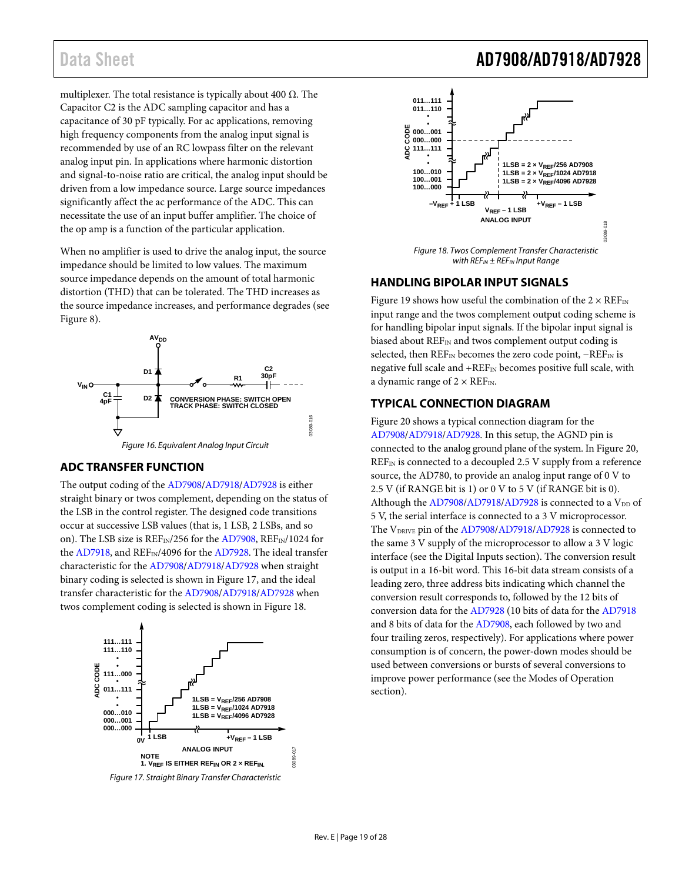multiplexer. The total resistance is typically about 400  $\Omega$ . The Capacitor C2 is the ADC sampling capacitor and has a capacitance of 30 pF typically. For ac applications, removing high frequency components from the analog input signal is recommended by use of an RC lowpass filter on the relevant analog input pin. In applications where harmonic distortion and signal-to-noise ratio are critical, the analog input should be driven from a low impedance source. Large source impedances significantly affect the ac performance of the ADC. This can necessitate the use of an input buffer amplifier. The choice of the op amp is a function of the particular application.

When no amplifier is used to drive the analog input, the source impedance should be limited to low values. The maximum source impedance depends on the amount of total harmonic distortion (THD) that can be tolerated. The THD increases as the source impedance increases, and performance degrades (see [Figure 8\)](#page-13-0).



Figure 16. Equivalent Analog Input Circuit

#### <span id="page-18-5"></span><span id="page-18-0"></span>**ADC TRANSFER FUNCTION**

The output coding of th[e AD7908](http://www.analog.com/ad7908?doc=ad7908_7918_7928.pdf)[/AD7918/](http://www.analog.com/ad7918?doc=ad7908_7918_7928.pdf)[AD7928 i](http://www.analog.com/ad7928?doc=AD7908_7918_7928.pdf)s either straight binary or twos complement, depending on the status of the LSB in the control register. The designed code transitions occur at successive LSB values (that is, 1 LSB, 2 LSBs, and so on). The LSB size is REF<sub>IN</sub>/256 for the [AD7908,](http://www.analog.com/ad7908?doc=ad7908_7918_7928.pdf) REF<sub>IN</sub>/1024 for the [AD7918,](http://www.analog.com/ad7918?doc=ad7908_7918_7928.pdf) and REF<sub>IN</sub>/4096 for th[e AD7928.](http://www.analog.com/ad7928?doc=AD7908_7918_7928.pdf) The ideal transfer characteristic for th[e AD7908/](http://www.analog.com/ad7908?doc=ad7908_7918_7928.pdf)[AD7918](http://www.analog.com/ad7918?doc=ad7908_7918_7928.pdf)[/AD7928 w](http://www.analog.com/ad7928?doc=AD7908_7918_7928.pdf)hen straight binary coding is selected is shown i[n Figure 17,](#page-18-3) and the ideal transfer characteristic for the [AD7908](http://www.analog.com/ad7908?doc=ad7908_7918_7928.pdf)[/AD7918](http://www.analog.com/ad7918?doc=ad7908_7918_7928.pdf)[/AD7928](http://www.analog.com/ad7928?doc=AD7908_7918_7928.pdf) when twos complement coding is selected is shown i[n Figure 18.](#page-18-4) 



<span id="page-18-3"></span>Figure 17. Straight Binary Transfer Characteristic

#### **ADC CODE 100…000 011…111 100…001 100…010 011…110 • • 000…001 000…000 111…111 • • ANALOG INPUT 1LSB = 2 × VREF/256 AD7908**  $1LSB = 2 \times V_{REF}/4096$  AD7928  $1LSB = 2 \times V_{REF}$ /1024 AD7918 **+VREF – 1 LSB VREF – 1 LSB –VREF + 1 LSB** 03089-018

Figure 18. Twos Complement Transfer Characteristic with  $REF_{IN}$   $\pm$  REF<sub>IN</sub> Input Range

#### <span id="page-18-4"></span><span id="page-18-1"></span>**HANDLING BIPOLAR INPUT SIGNALS**

[Figure 19 s](#page-19-0)hows how useful the combination of the  $2 \times REF_{IN}$ input range and the twos complement output coding scheme is for handling bipolar input signals. If the bipolar input signal is biased about  $REF_{IN}$  and twos complement output coding is selected, then REF<sub>IN</sub> becomes the zero code point, -REF<sub>IN</sub> is negative full scale and +REF<sub>IN</sub> becomes positive full scale, with a dynamic range of  $2 \times \text{REF}_{\text{IN}}$ .

#### <span id="page-18-2"></span>**TYPICAL CONNECTION DIAGRAM**

[Figure 20 s](#page-19-1)hows a typical connection diagram for the [AD7908](http://www.analog.com/ad7908?doc=ad7908_7918_7928.pdf)[/AD7918/](http://www.analog.com/ad7918?doc=ad7908_7918_7928.pdf)[AD7928.](http://www.analog.com/ad7928?doc=AD7908_7918_7928.pdf) In this setup, the AGND pin is connected to the analog ground plane of the system. I[n Figure 20,](#page-19-1)  $REF_{IN}$  is connected to a decoupled 2.5 V supply from a reference source, the AD780, to provide an analog input range of 0 V to 2.5 V (if RANGE bit is 1) or 0 V to 5 V (if RANGE bit is 0). Although the  $AD7908/AD7918/AD7928$  $AD7908/AD7918/AD7928$  $AD7908/AD7918/AD7928$  is connected to a  $V_{DD}$  of 5 V, the serial interface is connected to a 3 V microprocessor. The V<sub>DRIVE</sub> pin of the [AD7908/](http://www.analog.com/ad7908?doc=ad7908_7918_7928.pdf)[AD7918/](http://www.analog.com/ad7918?doc=ad7908_7918_7928.pdf)[AD7928 i](http://www.analog.com/ad7928?doc=AD7908_7918_7928.pdf)s connected to the same 3 V supply of the microprocessor to allow a 3 V logic interface (see th[e Digital Inputs](#page-19-2) section). The conversion result is output in a 16-bit word. This 16-bit data stream consists of a leading zero, three address bits indicating which channel the conversion result corresponds to, followed by the 12 bits of conversion data for th[e AD7928](http://www.analog.com/ad7928?doc=AD7908_7918_7928.pdf) (10 bits of data for th[e AD7918](http://www.analog.com/ad7918?doc=ad7908_7918_7928.pdf) and 8 bits of data for the [AD7908,](http://www.analog.com/ad7908?doc=ad7908_7918_7928.pdf) each followed by two and four trailing zeros, respectively). For applications where power consumption is of concern, the power-down modes should be used between conversions or bursts of several conversions to improve power performance (see the [Modes of Operation](#page-20-0)  section).

### Data Sheet **AD7908/AD7918/AD7928**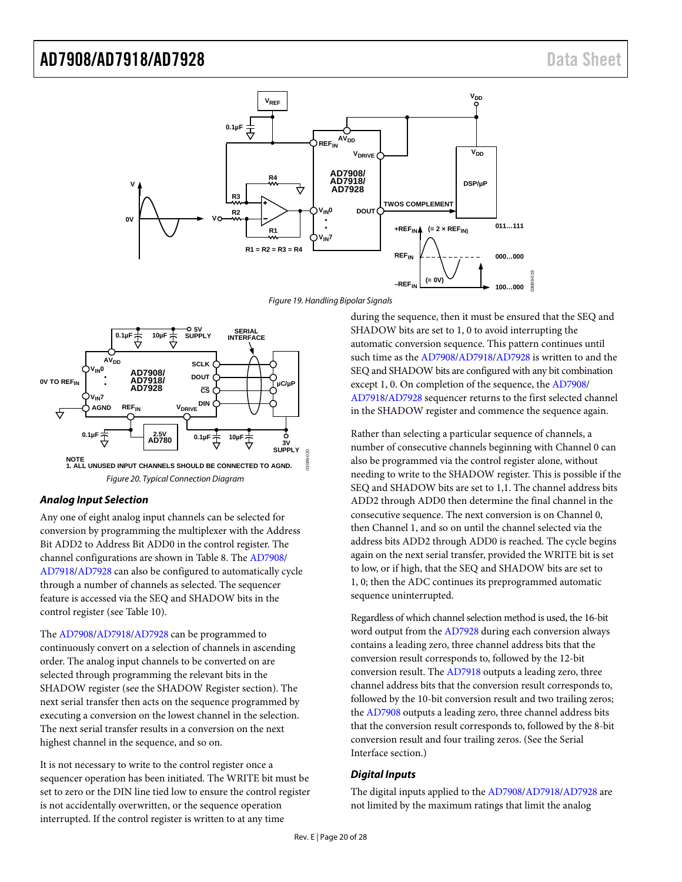

Figure 19. Handling Bipolar Signals

<span id="page-19-0"></span>

#### <span id="page-19-1"></span>**Analog Input Selection**

Any one of eight analog input channels can be selected for conversion by programming the multiplexer with the Address Bit ADD2 to Address Bit ADD0 in the control register. The channel configurations are shown in [Table 8.](#page-14-2) Th[e AD7908/](http://www.analog.com/ad7908?doc=ad7908_7918_7928.pdf) [AD7918](http://www.analog.com/ad7918?doc=ad7908_7918_7928.pdf)[/AD7928 c](http://www.analog.com/ad7928?doc=AD7908_7918_7928.pdf)an also be configured to automatically cycle through a number of channels as selected. The sequencer feature is accessed via the SEQ and SHADOW bits in the control register (see [Table 10\)](#page-15-1).

The [AD7908/](http://www.analog.com/ad7908?doc=ad7908_7918_7928.pdf)[AD7918](http://www.analog.com/ad7918?doc=ad7908_7918_7928.pdf)[/AD7928](http://www.analog.com/ad7928?doc=AD7908_7918_7928.pdf) can be programmed to continuously convert on a selection of channels in ascending order. The analog input channels to be converted on are selected through programming the relevant bits in the SHADOW register (see the SHADOW Register section). The next serial transfer then acts on the sequence programmed by executing a conversion on the lowest channel in the selection. The next serial transfer results in a conversion on the next highest channel in the sequence, and so on.

It is not necessary to write to the control register once a sequencer operation has been initiated. The WRITE bit must be set to zero or the DIN line tied low to ensure the control register is not accidentally overwritten, or the sequence operation interrupted. If the control register is written to at any time

during the sequence, then it must be ensured that the SEQ and SHADOW bits are set to 1, 0 to avoid interrupting the automatic conversion sequence. This pattern continues until such time as the [AD7908/](http://www.analog.com/ad7908?doc=ad7908_7918_7928.pdf)[AD7918/](http://www.analog.com/ad7918?doc=ad7908_7918_7928.pdf)[AD7928](http://www.analog.com/ad7928?doc=AD7908_7918_7928.pdf) is written to and the SEQ and SHADOW bits are configured with any bit combination except 1, 0. On completion of the sequence, the [AD7908/](http://www.analog.com/ad7908?doc=ad7908_7918_7928.pdf) [AD7918](http://www.analog.com/ad7918?doc=ad7908_7918_7928.pdf)[/AD7928](http://www.analog.com/ad7928?doc=AD7908_7918_7928.pdf) sequencer returns to the first selected channel in the SHADOW register and commence the sequence again.

Rather than selecting a particular sequence of channels, a number of consecutive channels beginning with Channel 0 can also be programmed via the control register alone, without needing to write to the SHADOW register. This is possible if the SEQ and SHADOW bits are set to 1,1. The channel address bits ADD2 through ADD0 then determine the final channel in the consecutive sequence. The next conversion is on Channel 0, then Channel 1, and so on until the channel selected via the address bits ADD2 through ADD0 is reached. The cycle begins again on the next serial transfer, provided the WRITE bit is set to low, or if high, that the SEQ and SHADOW bits are set to 1, 0; then the ADC continues its preprogrammed automatic sequence uninterrupted.

Regardless of which channel selection method is used, the 16-bit word output from the [AD7928 d](http://www.analog.com/ad7928?doc=AD7908_7918_7928.pdf)uring each conversion always contains a leading zero, three channel address bits that the conversion result corresponds to, followed by the 12-bit conversion result. The [AD7918 o](http://www.analog.com/ad7918?doc=ad7908_7918_7928.pdf)utputs a leading zero, three channel address bits that the conversion result corresponds to, followed by the 10-bit conversion result and two trailing zeros; the [AD7908 o](http://www.analog.com/ad7908?doc=ad7908_7918_7928.pdf)utputs a leading zero, three channel address bits that the conversion result corresponds to, followed by the 8-bit conversion result and four trailing zeros. (See the [Serial](#page-22-1)  [Interface s](#page-22-1)ection.)

#### <span id="page-19-2"></span>**Digital Inputs**

The digital inputs applied to the [AD7908/](http://www.analog.com/ad7908?doc=ad7908_7918_7928.pdf)[AD7918](http://www.analog.com/ad7918?doc=ad7908_7918_7928.pdf)[/AD7928](http://www.analog.com/ad7928?doc=AD7908_7918_7928.pdf) are not limited by the maximum ratings that limit the analog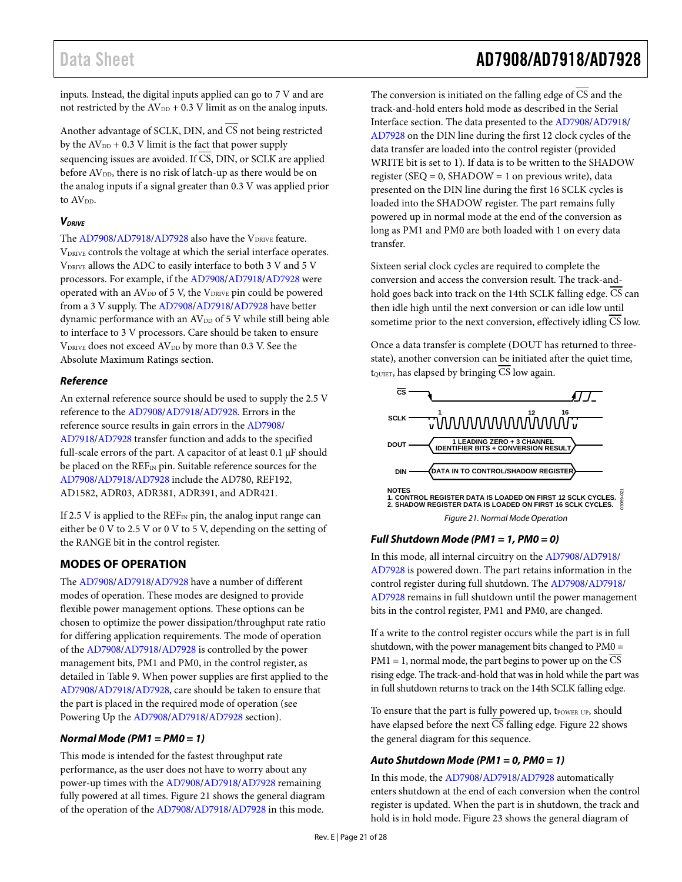# Data Sheet Additional AD7908/AD7918/AD7928

inputs. Instead, the digital inputs applied can go to 7 V and are not restricted by the  $AV_{DD} + 0.3$  V limit as on the analog inputs.

Another advantage of SCLK, DIN, and  $\overline{\text{CS}}$  not being restricted by the  $AV_{DD}$  + 0.3 V limit is the fact that power supply sequencing issues are avoided. If  $\overline{CS}$ , DIN, or SCLK are applied before AV<sub>DD</sub>, there is no risk of latch-up as there would be on the analog inputs if a signal greater than 0.3 V was applied prior to AV<sub>pp</sub>.

#### **VDRIVE**

The [AD7908/](http://www.analog.com/ad7908?doc=ad7908_7918_7928.pdf)[AD7918](http://www.analog.com/ad7918?doc=ad7908_7918_7928.pdf)[/AD7928](http://www.analog.com/ad7928?doc=AD7908_7918_7928.pdf) also have the VDRIVE feature. VDRIVE controls the voltage at which the serial interface operates. VDRIVE allows the ADC to easily interface to both 3 V and 5 V processors. For example, if the [AD7908](http://www.analog.com/ad7908?doc=ad7908_7918_7928.pdf)[/AD7918/](http://www.analog.com/ad7918?doc=ad7908_7918_7928.pdf)[AD7928](http://www.analog.com/ad7928?doc=AD7908_7918_7928.pdf) were operated with an  $AV_{DD}$  of 5 V, the  $V_{DRIVE}$  pin could be powered from a 3 V supply. Th[e AD7908](http://www.analog.com/ad7908?doc=ad7908_7918_7928.pdf)[/AD7918/](http://www.analog.com/ad7918?doc=ad7908_7918_7928.pdf)[AD7928 h](http://www.analog.com/ad7928?doc=AD7908_7918_7928.pdf)ave better dynamic performance with an AV<sub>DD</sub> of 5 V while still being able to interface to 3 V processors. Care should be taken to ensure V<sub>DRIVE</sub> does not exceed AV<sub>DD</sub> by more than 0.3 V. See the [Absolute Maximum Ratings s](#page-9-0)ection.

#### **Reference**

An external reference source should be used to supply the 2.5 V reference to the [AD7908](http://www.analog.com/ad7908?doc=ad7908_7918_7928.pdf)[/AD7918/](http://www.analog.com/ad7918?doc=ad7908_7918_7928.pdf)[AD7928.](http://www.analog.com/ad7928?doc=AD7908_7918_7928.pdf) Errors in the reference source results in gain errors in the [AD7908/](http://www.analog.com/ad7908?doc=ad7908_7918_7928.pdf) [AD7918](http://www.analog.com/ad7918?doc=ad7908_7918_7928.pdf)[/AD7928 t](http://www.analog.com/ad7928?doc=AD7908_7918_7928.pdf)ransfer function and adds to the specified full-scale errors of the part. A capacitor of at least 0.1 μF should be placed on the REF<sub>IN</sub> pin. Suitable reference sources for the [AD7908](http://www.analog.com/ad7908?doc=ad7908_7918_7928.pdf)[/AD7918/](http://www.analog.com/ad7918?doc=ad7908_7918_7928.pdf)[AD7928](http://www.analog.com/ad7928?doc=AD7908_7918_7928.pdf) include the AD780, REF192, AD1582, ADR03, ADR381, ADR391, and ADR421.

If 2.5 V is applied to the  $REF_{IN}$  pin, the analog input range can either be 0 V to 2.5 V or 0 V to 5 V, depending on the setting of the RANGE bit in the control register.

#### <span id="page-20-0"></span>**MODES OF OPERATION**

The [AD7908/](http://www.analog.com/ad7908?doc=ad7908_7918_7928.pdf)[AD7918](http://www.analog.com/ad7918?doc=ad7908_7918_7928.pdf)[/AD7928](http://www.analog.com/ad7928?doc=AD7908_7918_7928.pdf) have a number of different modes of operation. These modes are designed to provide flexible power management options. These options can be chosen to optimize the power dissipation/throughput rate ratio for differing application requirements. The mode of operation of the [AD7908](http://www.analog.com/ad7908?doc=ad7908_7918_7928.pdf)[/AD7918](http://www.analog.com/ad7918?doc=ad7908_7918_7928.pdf)[/AD7928](http://www.analog.com/ad7928?doc=AD7908_7918_7928.pdf) is controlled by the power management bits, PM1 and PM0, in the control register, as detailed i[n Table 9.](#page-15-2) When power supplies are first applied to the [AD7908](http://www.analog.com/ad7908?doc=ad7908_7918_7928.pdf)[/AD7918/](http://www.analog.com/ad7918?doc=ad7908_7918_7928.pdf)[AD7928,](http://www.analog.com/ad7928?doc=AD7908_7918_7928.pdf) care should be taken to ensure that the part is placed in the required mode of operation (see [Powering Up the AD7908/AD7918/AD7928](#page-21-0) section).

#### **Normal Mode (PM1 = PM0 = 1)**

This mode is intended for the fastest throughput rate performance, as the user does not have to worry about any power-up times with the [AD7908/](http://www.analog.com/ad7908?doc=ad7908_7918_7928.pdf)[AD7918](http://www.analog.com/ad7918?doc=ad7908_7918_7928.pdf)[/AD7928](http://www.analog.com/ad7928?doc=AD7908_7918_7928.pdf) remaining fully powered at all times[. Figure 21](#page-20-1) shows the general diagram of the operation of th[e AD7908/](http://www.analog.com/ad7908?doc=ad7908_7918_7928.pdf)[AD7918](http://www.analog.com/ad7918?doc=ad7908_7918_7928.pdf)[/AD7928 i](http://www.analog.com/ad7928?doc=AD7908_7918_7928.pdf)n this mode.

The conversion is initiated on the falling edge of  $\overline{CS}$  and the track-and-hold enters hold mode as described in th[e Serial](#page-22-1)  [Interface s](#page-22-1)ection. The data presented to th[e AD7908](http://www.analog.com/ad7908?doc=ad7908_7918_7928.pdf)[/AD7918/](http://www.analog.com/ad7918?doc=ad7908_7918_7928.pdf) [AD7928 o](http://www.analog.com/ad7928?doc=AD7908_7918_7928.pdf)n the DIN line during the first 12 clock cycles of the data transfer are loaded into the control register (provided WRITE bit is set to 1). If data is to be written to the SHADOW register (SEQ =  $0$ , SHADOW = 1 on previous write), data presented on the DIN line during the first 16 SCLK cycles is loaded into the SHADOW register. The part remains fully powered up in normal mode at the end of the conversion as long as PM1 and PM0 are both loaded with 1 on every data transfer.

Sixteen serial clock cycles are required to complete the conversion and access the conversion result. The track-andhold goes back into track on the 14th SCLK falling edge. CS can then idle high until the next conversion or can idle low until sometime prior to the next conversion, effectively idling CS low.

Once a data transfer is complete (DOUT has returned to threestate), another conversion can be initiated after the quiet time, t<sub>QUIET</sub>, has elapsed by bringing CS low again.



#### <span id="page-20-1"></span>**Full Shutdown Mode (PM1 = 1, PM0 = 0)**

In this mode, all internal circuitry on the [AD7908](http://www.analog.com/ad7908?doc=ad7908_7918_7928.pdf)[/AD7918/](http://www.analog.com/ad7918?doc=ad7908_7918_7928.pdf) [AD7928 i](http://www.analog.com/ad7928?doc=AD7908_7918_7928.pdf)s powered down. The part retains information in the control register during full shutdown. Th[e AD7908](http://www.analog.com/ad7908?doc=ad7908_7918_7928.pdf)[/AD7918/](http://www.analog.com/ad7918?doc=ad7908_7918_7928.pdf) [AD7928 r](http://www.analog.com/ad7928?doc=AD7908_7918_7928.pdf)emains in full shutdown until the power management bits in the control register, PM1 and PM0, are changed.

If a write to the control register occurs while the part is in full shutdown, with the power management bits changed to PM0 = PM1 = 1, normal mode, the part begins to power up on the CS rising edge. The track-and-hold that was in hold while the part was in full shutdown returns to track on the 14th SCLK falling edge.

To ensure that the part is fully powered up, tPOWER UP, should have elapsed before the next  $\overline{\text{CS}}$  falling edge[. Figure 22](#page-21-1) shows the general diagram for this sequence.

#### **Auto Shutdown Mode (PM1 = 0, PM0 = 1)**

In this mode, the [AD7908/](http://www.analog.com/ad7908?doc=ad7908_7918_7928.pdf)[AD7918](http://www.analog.com/ad7918?doc=ad7908_7918_7928.pdf)[/AD7928](http://www.analog.com/ad7928?doc=AD7908_7918_7928.pdf) automatically enters shutdown at the end of each conversion when the control register is updated. When the part is in shutdown, the track and hold is in hold mode. [Figure 23 s](#page-21-2)hows the general diagram of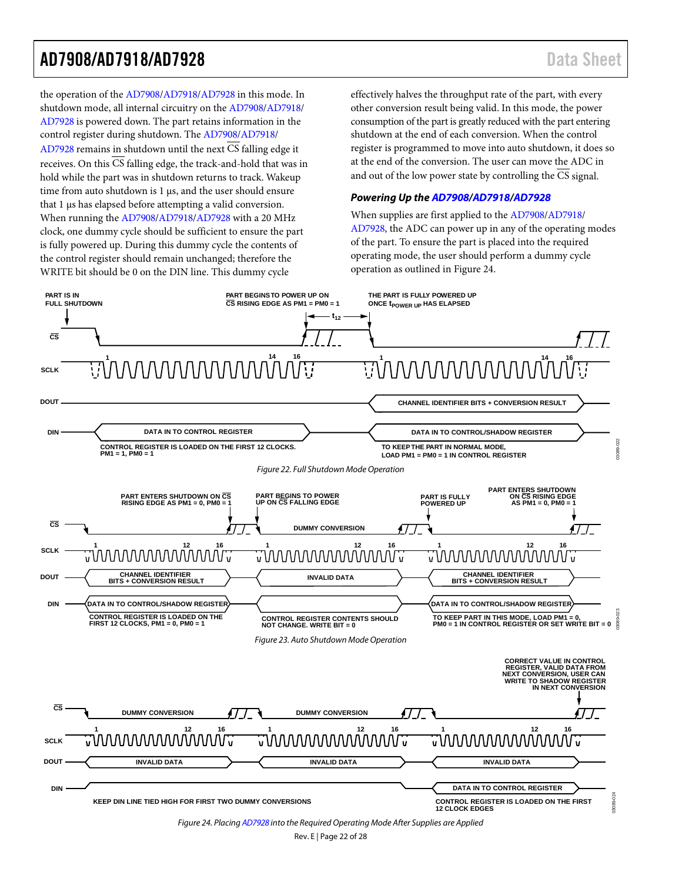the operation of the [AD7908](http://www.analog.com/ad7908?doc=ad7908_7918_7928.pdf)[/AD7918/](http://www.analog.com/ad7918?doc=ad7908_7918_7928.pdf)[AD7928](http://www.analog.com/ad7928?doc=AD7908_7918_7928.pdf) in this mode. In shutdown mode, all internal circuitry on the [AD7908/](http://www.analog.com/ad7908?doc=ad7908_7918_7928.pdf)[AD7918/](http://www.analog.com/ad7918?doc=ad7908_7918_7928.pdf) [AD7928](http://www.analog.com/ad7928?doc=AD7908_7918_7928.pdf) is powered down. The part retains information in the control register during shutdown. Th[e AD7908](http://www.analog.com/ad7908?doc=ad7908_7918_7928.pdf)[/AD7918/](http://www.analog.com/ad7918?doc=ad7908_7918_7928.pdf) [AD7928](http://www.analog.com/ad7928?doc=AD7908_7918_7928.pdf) remains in shutdown until the next  $\overline{CS}$  falling edge it receives. On this  $\overline{\text{CS}}$  falling edge, the track-and-hold that was in hold while the part was in shutdown returns to track. Wakeup time from auto shutdown is 1 μs, and the user should ensure that 1 μs has elapsed before attempting a valid conversion. When running the [AD7908](http://www.analog.com/ad7908?doc=ad7908_7918_7928.pdf)[/AD7918/](http://www.analog.com/ad7918?doc=ad7908_7918_7928.pdf)[AD7928](http://www.analog.com/ad7928?doc=AD7908_7918_7928.pdf) with a 20 MHz clock, one dummy cycle should be sufficient to ensure the part is fully powered up. During this dummy cycle the contents of the control register should remain unchanged; therefore the WRITE bit should be 0 on the DIN line. This dummy cycle

effectively halves the throughput rate of the part, with every other conversion result being valid. In this mode, the power consumption of the part is greatly reduced with the part entering shutdown at the end of each conversion. When the control register is programmed to move into auto shutdown, it does so at the end of the conversion. The user can move the ADC in and out of the low power state by controlling the CS signal.

#### <span id="page-21-0"></span>*Powering Up the [AD7908/](http://www.analog.com/ad7908?doc=ad7908_7918_7928.pdf)[AD7918](http://www.analog.com/ad7918?doc=ad7908_7918_7928.pdf)[/AD7928](http://www.analog.com/ad7928?doc=AD7908_7918_7928.pdf)*

When supplies are first applied to th[e AD7908/](http://www.analog.com/ad7908?doc=ad7908_7918_7928.pdf)[AD7918/](http://www.analog.com/ad7918?doc=ad7908_7918_7928.pdf) [AD7928,](http://www.analog.com/ad7928?doc=AD7908_7918_7928.pdf) the ADC can power up in any of the operating modes of the part. To ensure the part is placed into the required operating mode, the user should perform a dummy cycle operation as outlined i[n Figure 24.](#page-21-3)

<span id="page-21-3"></span><span id="page-21-2"></span><span id="page-21-1"></span>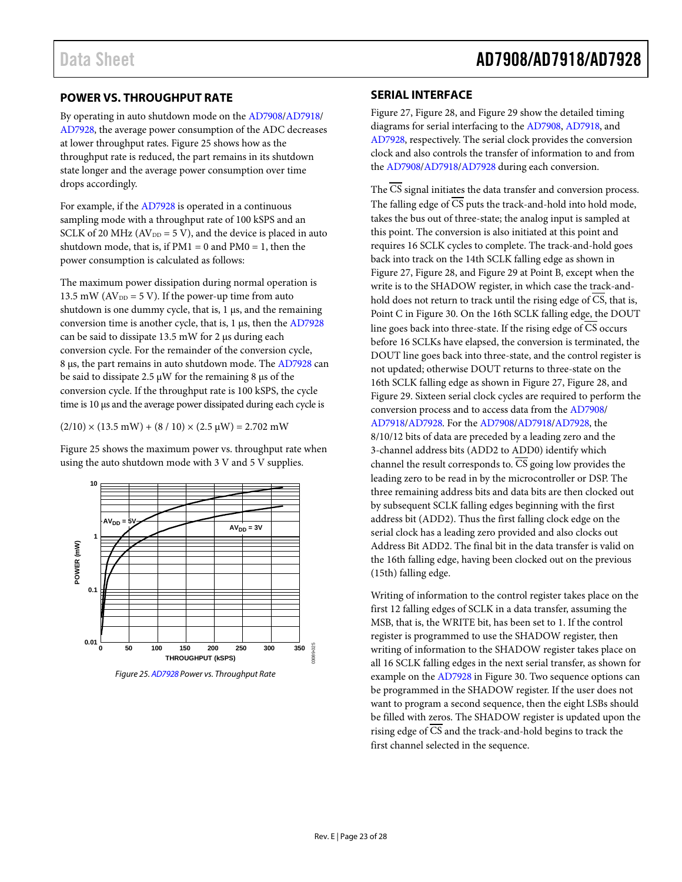#### <span id="page-22-2"></span><span id="page-22-0"></span>**POWER VS. THROUGHPUT RATE**

By operating in auto shutdown mode on the [AD7908/](http://www.analog.com/ad7908?doc=ad7908_7918_7928.pdf)[AD7918/](http://www.analog.com/ad7918?doc=ad7908_7918_7928.pdf) [AD7928,](http://www.analog.com/ad7928?doc=AD7908_7918_7928.pdf) the average power consumption of the ADC decreases at lower throughput rates. [Figure 25](#page-22-3) shows how as the throughput rate is reduced, the part remains in its shutdown state longer and the average power consumption over time drops accordingly.

For example, if the [AD7928](http://www.analog.com/ad7928?doc=AD7908_7918_7928.pdf) is operated in a continuous sampling mode with a throughput rate of 100 kSPS and an SCLK of 20 MHz ( $AV<sub>DD</sub> = 5 V$ ), and the device is placed in auto shutdown mode, that is, if  $PM1 = 0$  and  $PM0 = 1$ , then the power consumption is calculated as follows:

The maximum power dissipation during normal operation is 13.5 mW ( $AV<sub>DD</sub> = 5 V$ ). If the power-up time from auto shutdown is one dummy cycle, that is,  $1 \mu s$ , and the remaining conversion time is another cycle, that is, 1 μs, then th[e AD7928](http://www.analog.com/ad7928?doc=AD7908_7918_7928.pdf) can be said to dissipate 13.5 mW for 2 μs during each conversion cycle. For the remainder of the conversion cycle, 8 μs, the part remains in auto shutdown mode. Th[e AD7928](http://www.analog.com/ad7928?doc=AD7908_7918_7928.pdf) can be said to dissipate 2.5 μW for the remaining 8 μs of the conversion cycle. If the throughput rate is 100 kSPS, the cycle time is 10 μs and the average power dissipated during each cycle is

 $(2/10) \times (13.5 \text{ mW}) + (8/10) \times (2.5 \text{ µW}) = 2.702 \text{ mW}$ 

[Figure 25](#page-22-3) shows the maximum power vs. throughput rate when using the auto shutdown mode with 3 V and 5 V supplies.



<span id="page-22-3"></span>*Figure 25[. AD7928](http://www.analog.com/ad7928?doc=AD7908_7918_7928.pdf) Power vs. Throughput Rate*

#### <span id="page-22-1"></span>**SERIAL INTERFACE**

[Figure 27,](#page-24-0) [Figure 28,](#page-24-1) an[d Figure 29](#page-24-2) show the detailed timing diagrams for serial interfacing to the [AD7908,](http://www.analog.com/ad7908?doc=ad7908_7918_7928.pdf) [AD7918,](http://www.analog.com/ad7918?doc=ad7908_7918_7928.pdf) and [AD7928,](http://www.analog.com/ad7928?doc=AD7908_7918_7928.pdf) respectively. The serial clock provides the conversion clock and also controls the transfer of information to and from the [AD7908/](http://www.analog.com/ad7908?doc=ad7908_7918_7928.pdf)[AD7918/](http://www.analog.com/ad7918?doc=ad7908_7918_7928.pdf)[AD7928](http://www.analog.com/ad7928?doc=AD7908_7918_7928.pdf) during each conversion.

The  $\overline{\text{CS}}$  signal initiates the data transfer and conversion process. The falling edge of  $\overline{CS}$  puts the track-and-hold into hold mode, takes the bus out of three-state; the analog input is sampled at this point. The conversion is also initiated at this point and requires 16 SCLK cycles to complete. The track-and-hold goes back into track on the 14th SCLK falling edge as shown in [Figure 27,](#page-24-0) [Figure 28,](#page-24-1) an[d Figure 29](#page-24-2) at Point B, except when the write is to the SHADOW register, in which case the track-andhold does not return to track until the rising edge of CS, that is, Point C in [Figure 30.](#page-24-3) On the 16th SCLK falling edge, the DOUT line goes back into three-state. If the rising edge of  $\overline{CS}$  occurs before 16 SCLKs have elapsed, the conversion is terminated, the DOUT line goes back into three-state, and the control register is not updated; otherwise DOUT returns to three-state on the 16th SCLK falling edge as shown i[n Figure 27,](#page-24-0) [Figure 28,](#page-24-1) and [Figure 29.](#page-24-2) Sixteen serial clock cycles are required to perform the conversion process and to access data from the [AD7908/](http://www.analog.com/ad7908?doc=ad7908_7918_7928.pdf) [AD7918](http://www.analog.com/ad7918?doc=ad7908_7918_7928.pdf)[/AD7928.](http://www.analog.com/ad7928?doc=AD7908_7918_7928.pdf) For the [AD7908/](http://www.analog.com/ad7908?doc=ad7908_7918_7928.pdf)[AD7918/](http://www.analog.com/ad7918?doc=ad7908_7918_7928.pdf)[AD7928,](http://www.analog.com/ad7928?doc=AD7908_7918_7928.pdf) the 8/10/12 bits of data are preceded by a leading zero and the 3-channel address bits (ADD2 to ADD0) identify which channel the result corresponds to.  $\overline{CS}$  going low provides the leading zero to be read in by the microcontroller or DSP. The three remaining address bits and data bits are then clocked out by subsequent SCLK falling edges beginning with the first address bit (ADD2). Thus the first falling clock edge on the serial clock has a leading zero provided and also clocks out Address Bit ADD2. The final bit in the data transfer is valid on the 16th falling edge, having been clocked out on the previous (15th) falling edge.

Writing of information to the control register takes place on the first 12 falling edges of SCLK in a data transfer, assuming the MSB, that is, the WRITE bit, has been set to 1. If the control register is programmed to use the SHADOW register, then writing of information to the SHADOW register takes place on all 16 SCLK falling edges in the next serial transfer, as shown for example on the [AD7928](http://www.analog.com/ad7928?doc=AD7908_7918_7928.pdf) i[n Figure 30.](#page-24-3) Two sequence options can be programmed in the SHADOW register. If the user does not want to program a second sequence, then the eight LSBs should be filled with zeros. The SHADOW register is updated upon the rising edge of  $\overline{CS}$  and the track-and-hold begins to track the first channel selected in the sequence.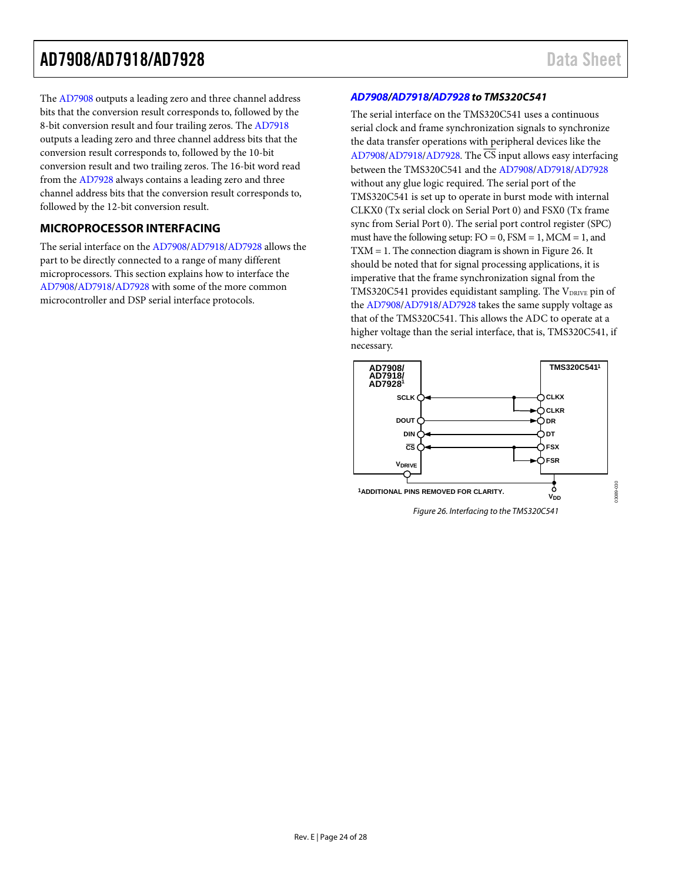The [AD7908 o](http://www.analog.com/ad7908?doc=ad7908_7918_7928.pdf)utputs a leading zero and three channel address bits that the conversion result corresponds to, followed by the 8-bit conversion result and four trailing zeros. Th[e AD7918](http://www.analog.com/ad7918?doc=ad7908_7918_7928.pdf) outputs a leading zero and three channel address bits that the conversion result corresponds to, followed by the 10-bit conversion result and two trailing zeros. The 16-bit word read from the [AD7928 a](http://www.analog.com/ad7928?doc=AD7908_7918_7928.pdf)lways contains a leading zero and three channel address bits that the conversion result corresponds to, followed by the 12-bit conversion result.

#### <span id="page-23-0"></span>**MICROPROCESSOR INTERFACING**

The serial interface on the [AD7908/](http://www.analog.com/ad7908?doc=ad7908_7918_7928.pdf)[AD7918/](http://www.analog.com/ad7918?doc=ad7908_7918_7928.pdf)[AD7928](http://www.analog.com/ad7928?doc=AD7908_7918_7928.pdf) allows the part to be directly connected to a range of many different microprocessors. This section explains how to interface the [AD7908](http://www.analog.com/ad7908?doc=ad7908_7918_7928.pdf)[/AD7918/](http://www.analog.com/ad7918?doc=ad7908_7918_7928.pdf)[AD7928](http://www.analog.com/ad7928?doc=AD7908_7918_7928.pdf) with some of the more common microcontroller and DSP serial interface protocols.

#### **[AD7908](http://www.analog.com/ad7908?doc=ad7908_7918_7928.pdf)[/AD7918](http://www.analog.com/ad7918?doc=ad7908_7918_7928.pdf)[/AD7928 t](http://www.analog.com/ad7928?doc=AD7908_7918_7928.pdf)o TMS320C541**

The serial interface on the TMS320C541 uses a continuous serial clock and frame synchronization signals to synchronize the data transfer operations with peripheral devices like the [AD7908](http://www.analog.com/ad7908?doc=ad7908_7918_7928.pdf)[/AD7918/](http://www.analog.com/ad7918?doc=ad7908_7918_7928.pdf)[AD7928.](http://www.analog.com/ad7928?doc=AD7908_7918_7928.pdf) The CS input allows easy interfacing between the TMS320C541 and the [AD7908/](http://www.analog.com/ad7908?doc=ad7908_7918_7928.pdf)[AD7918/](http://www.analog.com/ad7918?doc=ad7908_7918_7928.pdf)[AD7928](http://www.analog.com/ad7928?doc=AD7908_7918_7928.pdf) without any glue logic required. The serial port of the TMS320C541 is set up to operate in burst mode with internal CLKX0 (Tx serial clock on Serial Port 0) and FSX0 (Tx frame sync from Serial Port 0). The serial port control register (SPC) must have the following setup:  $FO = 0$ ,  $FSM = 1$ ,  $MCM = 1$ , and TXM = 1. The connection diagram is shown i[n Figure 26.](#page-23-1) It should be noted that for signal processing applications, it is imperative that the frame synchronization signal from the TMS320C541 provides equidistant sampling. The VDRIVE pin of the [AD7908/](http://www.analog.com/ad7908?doc=ad7908_7918_7928.pdf)[AD7918](http://www.analog.com/ad7918?doc=ad7908_7918_7928.pdf)[/AD7928](http://www.analog.com/ad7928?doc=AD7908_7918_7928.pdf) takes the same supply voltage as that of the TMS320C541. This allows the ADC to operate at a higher voltage than the serial interface, that is, TMS320C541, if necessary.

<span id="page-23-1"></span>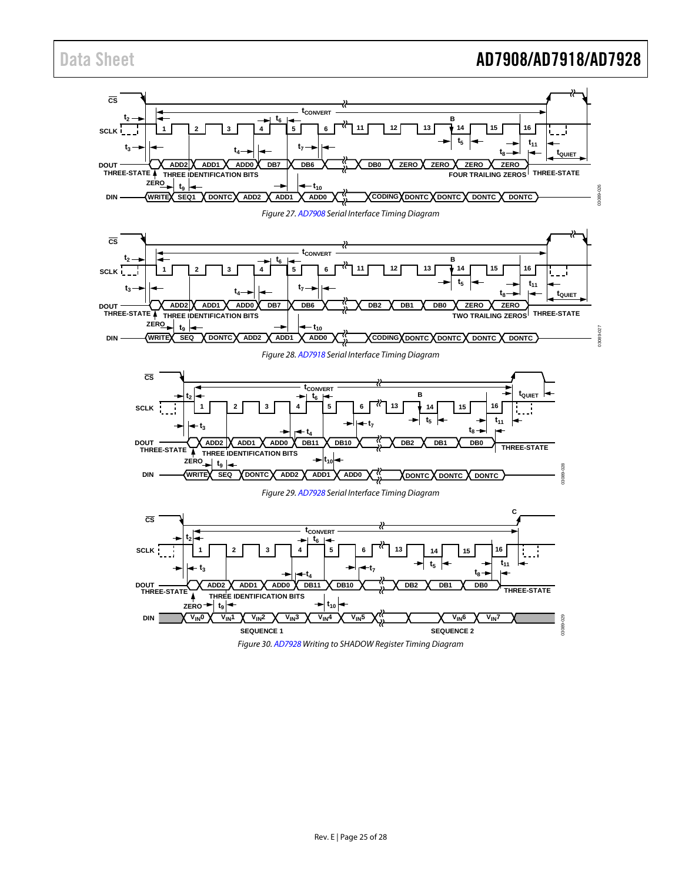## Data Sheet **AD7908/AD7918/AD7928**

<span id="page-24-1"></span><span id="page-24-0"></span>

<span id="page-24-3"></span><span id="page-24-2"></span>Figure 30[. AD7928 W](http://www.analog.com/ad7928?doc=AD7908_7918_7928.pdf)riting to SHADOW Register Timing Diagram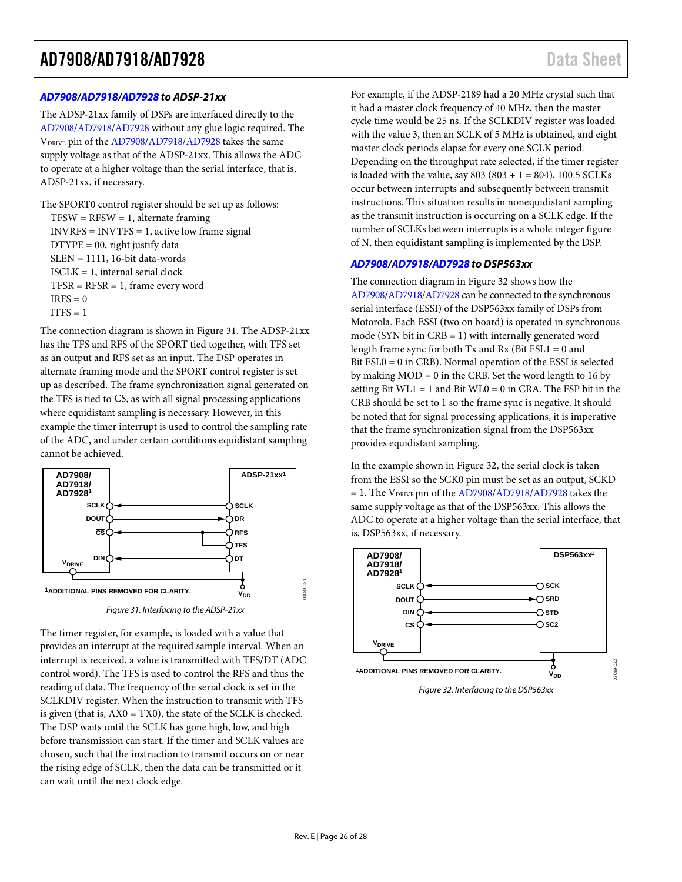#### *[AD7908/](http://www.analog.com/ad7908?doc=ad7908_7918_7928.pdf)[AD7918](http://www.analog.com/ad7918?doc=ad7908_7918_7928.pdf)[/AD7928](http://www.analog.com/ad7928?doc=AD7908_7918_7928.pdf) to ADSP-21xx*

The ADSP-21xx family of DSPs are interfaced directly to the [AD7908](http://www.analog.com/ad7908?doc=ad7908_7918_7928.pdf)[/AD7918/](http://www.analog.com/ad7918?doc=ad7908_7918_7928.pdf)[AD7928](http://www.analog.com/ad7928?doc=AD7908_7918_7928.pdf) without any glue logic required. The VDRIVE pin of the [AD7908/](http://www.analog.com/ad7908?doc=ad7908_7918_7928.pdf)[AD7918](http://www.analog.com/ad7918?doc=ad7908_7918_7928.pdf)[/AD7928](http://www.analog.com/ad7928?doc=AD7908_7918_7928.pdf) takes the same supply voltage as that of the ADSP-21xx. This allows the ADC to operate at a higher voltage than the serial interface, that is, ADSP-21xx, if necessary.

The SPORT0 control register should be set up as follows:  $TFSW = RFSW = 1$ , alternate framing INVRFS = INVTFS = 1, active low frame signal DTYPE = 00, right justify data SLEN = 1111, 16-bit data-words ISCLK = 1, internal serial clock  $TFSR = RFSR = 1$ , frame every word  $IRFS = 0$  $ITFS = 1$ 

The connection diagram is shown in [Figure 31.](#page-25-0) The ADSP-21xx has the TFS and RFS of the SPORT tied together, with TFS set as an output and RFS set as an input. The DSP operates in alternate framing mode and the SPORT control register is set up as described. The frame synchronization signal generated on the TFS is tied to CS, as with all signal processing applications where equidistant sampling is necessary. However, in this example the timer interrupt is used to control the sampling rate of the ADC, and under certain conditions equidistant sampling cannot be achieved.



*Figure 31. Interfacing to the ADSP-21xx*

<span id="page-25-0"></span>The timer register, for example, is loaded with a value that provides an interrupt at the required sample interval. When an interrupt is received, a value is transmitted with TFS/DT (ADC control word). The TFS is used to control the RFS and thus the reading of data. The frequency of the serial clock is set in the SCLKDIV register. When the instruction to transmit with TFS is given (that is,  $AX0 = TX0$ ), the state of the SCLK is checked. The DSP waits until the SCLK has gone high, low, and high before transmission can start. If the timer and SCLK values are chosen, such that the instruction to transmit occurs on or near the rising edge of SCLK, then the data can be transmitted or it can wait until the next clock edge.

For example, if the ADSP-2189 had a 20 MHz crystal such that it had a master clock frequency of 40 MHz, then the master cycle time would be 25 ns. If the SCLKDIV register was loaded with the value 3, then an SCLK of 5 MHz is obtained, and eight master clock periods elapse for every one SCLK period. Depending on the throughput rate selected, if the timer register is loaded with the value, say  $803 (803 + 1 = 804)$ , 100.5 SCLKs occur between interrupts and subsequently between transmit instructions. This situation results in nonequidistant sampling as the transmit instruction is occurring on a SCLK edge. If the number of SCLKs between interrupts is a whole integer figure of N, then equidistant sampling is implemented by the DSP.

#### *[AD7908/](http://www.analog.com/ad7908?doc=ad7908_7918_7928.pdf)[AD7918](http://www.analog.com/ad7918?doc=ad7908_7918_7928.pdf)[/AD7928](http://www.analog.com/ad7928?doc=AD7908_7918_7928.pdf) to DSP563xx*

The connection diagram i[n Figure 32](#page-25-1) shows how the [AD7908](http://www.analog.com/ad7908?doc=ad7908_7918_7928.pdf)[/AD7918](http://www.analog.com/ad7918?doc=ad7908_7918_7928.pdf)[/AD7928](http://www.analog.com/ad7928?doc=AD7908_7918_7928.pdf) can be connected to the synchronous serial interface (ESSI) of the DSP563xx family of DSPs from Motorola. Each ESSI (two on board) is operated in synchronous mode (SYN bit in  $CRB = 1$ ) with internally generated word length frame sync for both Tx and Rx (Bit FSL1 = 0 and Bit FSL0 = 0 in CRB). Normal operation of the ESSI is selected by making  $MOD = 0$  in the CRB. Set the word length to 16 by setting Bit  $WLI = 1$  and Bit  $WLO = 0$  in CRA. The FSP bit in the CRB should be set to 1 so the frame sync is negative. It should be noted that for signal processing applications, it is imperative that the frame synchronization signal from the DSP563xx provides equidistant sampling.

In the example shown i[n Figure 32,](#page-25-1) the serial clock is taken from the ESSI so the SCK0 pin must be set as an output, SCKD  $= 1$ . The V<sub>DRIVE</sub> pin of th[e AD7908](http://www.analog.com/ad7908?doc=ad7908_7918_7928.pdf)[/AD7918/](http://www.analog.com/ad7918?doc=ad7908_7918_7928.pdf)[AD7928](http://www.analog.com/ad7928?doc=AD7908_7918_7928.pdf) takes the same supply voltage as that of the DSP563xx. This allows the ADC to operate at a higher voltage than the serial interface, that is, DSP563xx, if necessary.



<span id="page-25-1"></span>*Figure 32. Interfacing to the DSP563xx*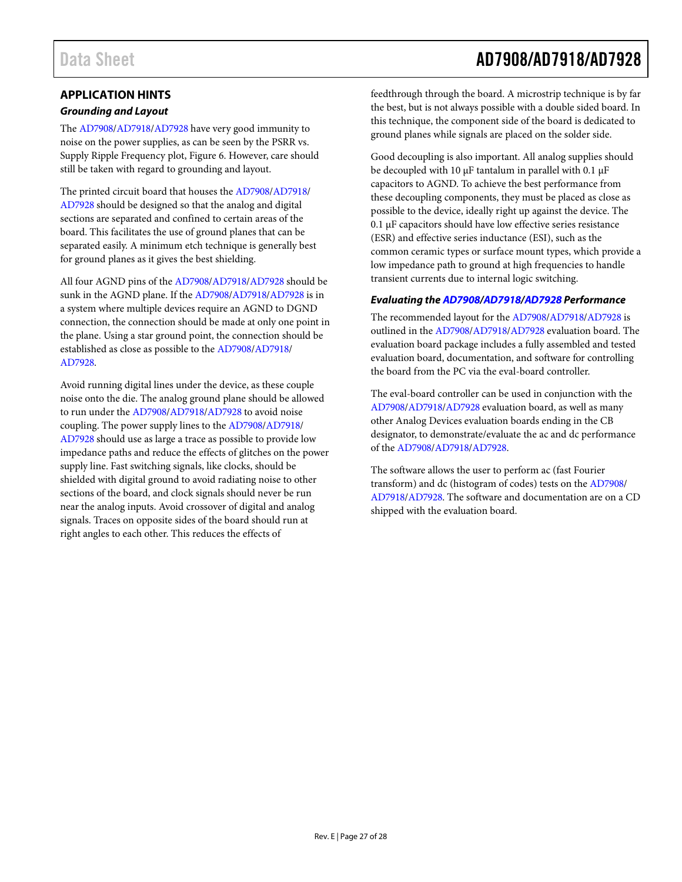#### <span id="page-26-0"></span>**APPLICATION HINTS**

#### *Grounding and Layout*

The [AD7908/](http://www.analog.com/ad7908?doc=ad7908_7918_7928.pdf)[AD7918/](http://www.analog.com/ad7918?doc=ad7908_7918_7928.pdf)[AD7928](http://www.analog.com/ad7928?doc=AD7908_7918_7928.pdf) have very good immunity to noise on the power supplies, as can be seen by the PSRR vs. Supply Ripple Frequency plot, [Figure 6.](#page-12-4) However, care should still be taken with regard to grounding and layout.

The printed circuit board that houses th[e AD7908](http://www.analog.com/ad7908?doc=ad7908_7918_7928.pdf)[/AD7918/](http://www.analog.com/ad7918?doc=ad7908_7918_7928.pdf) [AD7928](http://www.analog.com/ad7928?doc=AD7908_7918_7928.pdf) should be designed so that the analog and digital sections are separated and confined to certain areas of the board. This facilitates the use of ground planes that can be separated easily. A minimum etch technique is generally best for ground planes as it gives the best shielding.

All four AGND pins of the [AD7908/](http://www.analog.com/ad7908?doc=ad7908_7918_7928.pdf)[AD7918/](http://www.analog.com/ad7918?doc=ad7908_7918_7928.pdf)[AD7928](http://www.analog.com/ad7928?doc=AD7908_7918_7928.pdf) should be sunk in the AGND plane. If the [AD7908/](http://www.analog.com/ad7908?doc=ad7908_7918_7928.pdf)[AD7918/](http://www.analog.com/ad7918?doc=ad7908_7918_7928.pdf)[AD7928](http://www.analog.com/ad7928?doc=AD7908_7918_7928.pdf) is in a system where multiple devices require an AGND to DGND connection, the connection should be made at only one point in the plane. Using a star ground point, the connection should be established as close as possible to the [AD7908/](http://www.analog.com/ad7908?doc=ad7908_7918_7928.pdf)[AD7918/](http://www.analog.com/ad7918?doc=ad7908_7918_7928.pdf) [AD7928.](http://www.analog.com/ad7928?doc=AD7908_7918_7928.pdf)

Avoid running digital lines under the device, as these couple noise onto the die. The analog ground plane should be allowed to run under the [AD7908](http://www.analog.com/ad7908?doc=ad7908_7918_7928.pdf)[/AD7918/](http://www.analog.com/ad7918?doc=ad7908_7918_7928.pdf)[AD7928](http://www.analog.com/ad7928?doc=AD7908_7918_7928.pdf) to avoid noise coupling. The power supply lines to th[e AD7908/](http://www.analog.com/ad7908?doc=ad7908_7918_7928.pdf)[AD7918/](http://www.analog.com/ad7918?doc=ad7908_7918_7928.pdf) [AD7928](http://www.analog.com/ad7928?doc=AD7908_7918_7928.pdf) should use as large a trace as possible to provide low impedance paths and reduce the effects of glitches on the power supply line. Fast switching signals, like clocks, should be shielded with digital ground to avoid radiating noise to other sections of the board, and clock signals should never be run near the analog inputs. Avoid crossover of digital and analog signals. Traces on opposite sides of the board should run at right angles to each other. This reduces the effects of

# Data Sheet **AD7908/AD7918/AD7928**

feedthrough through the board. A microstrip technique is by far the best, but is not always possible with a double sided board. In this technique, the component side of the board is dedicated to ground planes while signals are placed on the solder side.

Good decoupling is also important. All analog supplies should be decoupled with 10 μF tantalum in parallel with 0.1 μF capacitors to AGND. To achieve the best performance from these decoupling components, they must be placed as close as possible to the device, ideally right up against the device. The 0.1 μF capacitors should have low effective series resistance (ESR) and effective series inductance (ESI), such as the common ceramic types or surface mount types, which provide a low impedance path to ground at high frequencies to handle transient currents due to internal logic switching.

#### *Evaluating the [AD7908](http://www.analog.com/ad7908?doc=ad7908_7918_7928.pdf)[/AD7918/](http://www.analog.com/ad7918?doc=ad7908_7918_7928.pdf)[AD7928](http://www.analog.com/ad7928?doc=AD7908_7918_7928.pdf) Performance*

The recommended layout for the [AD7908/](http://www.analog.com/ad7908?doc=ad7908_7918_7928.pdf)[AD7918/](http://www.analog.com/ad7918?doc=ad7908_7918_7928.pdf)[AD7928](http://www.analog.com/ad7928?doc=AD7908_7918_7928.pdf) is outlined in the [AD7908/](http://www.analog.com/ad7908?doc=ad7908_7918_7928.pdf)[AD7918/](http://www.analog.com/ad7918?doc=ad7908_7918_7928.pdf)[AD7928](http://www.analog.com/ad7928?doc=AD7908_7918_7928.pdf) evaluation board. The evaluation board package includes a fully assembled and tested evaluation board, documentation, and software for controlling the board from the PC via the eval-board controller.

The eval-board controller can be used in conjunction with the [AD7908](http://www.analog.com/ad7908?doc=ad7908_7918_7928.pdf)[/AD7918/](http://www.analog.com/ad7918?doc=ad7908_7918_7928.pdf)[AD7928](http://www.analog.com/ad7928?doc=AD7908_7918_7928.pdf) evaluation board, as well as many other Analog Devices evaluation boards ending in the CB designator, to demonstrate/evaluate the ac and dc performance of the [AD7908/](http://www.analog.com/ad7908?doc=ad7908_7918_7928.pdf)[AD7918](http://www.analog.com/ad7918?doc=ad7908_7918_7928.pdf)[/AD7928.](http://www.analog.com/ad7928?doc=AD7908_7918_7928.pdf)

The software allows the user to perform ac (fast Fourier transform) and dc (histogram of codes) tests on th[e AD7908/](http://www.analog.com/ad7908?doc=ad7908_7918_7928.pdf) [AD7918](http://www.analog.com/ad7918?doc=ad7908_7918_7928.pdf)[/AD7928.](http://www.analog.com/ad7928?doc=AD7908_7918_7928.pdf) The software and documentation are on a CD shipped with the evaluation board.